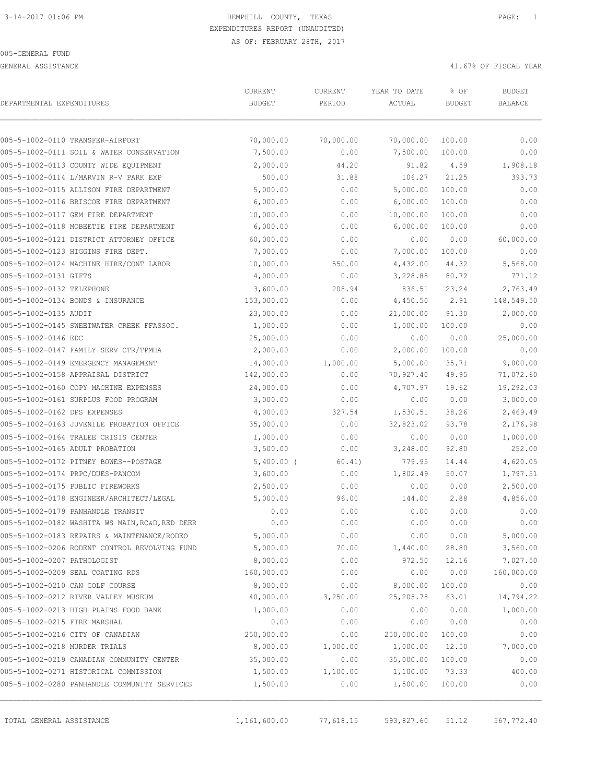GENERAL ASSISTANCE 41.67% OF FISCAL YEAR

| DEPARTMENTAL EXPENDITURES                       | CURRENT       | CURRENT   | YEAR TO DATE | % OF          | <b>BUDGET</b>  |
|-------------------------------------------------|---------------|-----------|--------------|---------------|----------------|
|                                                 | <b>BUDGET</b> | PERIOD    | ACTUAL       | <b>BUDGET</b> | <b>BALANCE</b> |
| 005-5-1002-0110 TRANSFER-AIRPORT                | 70,000.00     | 70,000.00 | 70,000.00    | 100.00        | 0.00           |
| 005-5-1002-0111 SOIL & WATER CONSERVATION       | 7,500.00      | 0.00      | 7,500.00     | 100.00        | 0.00           |
| 005-5-1002-0113 COUNTY WIDE EQUIPMENT           | 2,000.00      | 44.20     | 91.82        | 4.59          | 1,908.18       |
| 005-5-1002-0114 L/MARVIN R-V PARK EXP           | 500.00        | 31.88     | 106.27       | 21.25         | 393.73         |
| 005-5-1002-0115 ALLISON FIRE DEPARTMENT         | 5,000.00      | 0.00      | 5,000.00     | 100.00        | 0.00           |
| 005-5-1002-0116 BRISCOE FIRE DEPARTMENT         | 6,000.00      | 0.00      | 6,000.00     | 100.00        | 0.00           |
| 005-5-1002-0117 GEM FIRE DEPARTMENT             | 10,000.00     | 0.00      | 10,000.00    | 100.00        | 0.00           |
| 005-5-1002-0118 MOBEETIE FIRE DEPARTMENT        | 6,000.00      | 0.00      | 6,000.00     | 100.00        | 0.00           |
| 005-5-1002-0121 DISTRICT ATTORNEY OFFICE        | 60,000.00     | 0.00      | 0.00         | 0.00          | 60,000.00      |
| 005-5-1002-0123 HIGGINS FIRE DEPT.              | 7,000.00      | 0.00      | 7,000.00     | 100.00        | 0.00           |
| 005-5-1002-0124 MACHINE HIRE/CONT LABOR         | 10,000.00     | 550.00    | 4,432.00     | 44.32         | 5,568.00       |
| 005-5-1002-0131 GIFTS                           | 4,000.00      | 0.00      | 3,228.88     | 80.72         | 771.12         |
| 005-5-1002-0132 TELEPHONE                       | 3,600.00      | 208.94    | 836.51       | 23.24         | 2,763.49       |
| 005-5-1002-0134 BONDS & INSURANCE               | 153,000.00    | 0.00      | 4,450.50     | 2.91          | 148,549.50     |
| 005-5-1002-0135 AUDIT                           | 23,000.00     | 0.00      | 21,000.00    | 91.30         | 2,000.00       |
| 005-5-1002-0145 SWEETWATER CREEK FFASSOC.       | 1,000.00      | 0.00      | 1,000.00     | 100.00        | 0.00           |
| 005-5-1002-0146 EDC                             | 25,000.00     | 0.00      | 0.00         | 0.00          | 25,000.00      |
| 005-5-1002-0147 FAMILY SERV CTR/TPMHA           | 2,000.00      | 0.00      | 2,000.00     | 100.00        | 0.00           |
| 005-5-1002-0149 EMERGENCY MANAGEMENT            | 14,000.00     | 1,000.00  | 5,000.00     | 35.71         | 9,000.00       |
| 005-5-1002-0158 APPRAISAL DISTRICT              | 142,000.00    | 0.00      | 70,927.40    | 49.95         | 71,072.60      |
| 005-5-1002-0160 COPY MACHINE EXPENSES           | 24,000.00     | 0.00      | 4,707.97     | 19.62         | 19,292.03      |
| 005-5-1002-0161 SURPLUS FOOD PROGRAM            | 3,000.00      | 0.00      | 0.00         | 0.00          | 3,000.00       |
| 005-5-1002-0162 DPS EXPENSES                    | 4,000.00      | 327.54    | 1,530.51     | 38.26         | 2,469.49       |
| 005-5-1002-0163 JUVENILE PROBATION OFFICE       | 35,000.00     | 0.00      | 32,823.02    | 93.78         | 2,176.98       |
| 005-5-1002-0164 TRALEE CRISIS CENTER            | 1,000.00      | 0.00      | 0.00         | 0.00          | 1,000.00       |
| 005-5-1002-0165 ADULT PROBATION                 | 3,500.00      | 0.00      | 3,248.00     | 92.80         | 252.00         |
| 005-5-1002-0172 PITNEY BOWES--POSTAGE           | $5,400.00$ (  | 60.41)    | 779.95       | 14.44         | 4,620.05       |
| 005-5-1002-0174 PRPC/DUES-PANCOM                | 3,600.00      | 0.00      | 1,802.49     | 50.07         | 1,797.51       |
| 005-5-1002-0175 PUBLIC FIREWORKS                | 2,500.00      | 0.00      | 0.00         | 0.00          | 2,500.00       |
| 005-5-1002-0178 ENGINEER/ARCHITECT/LEGAL        | 5,000.00      | 96.00     | 144.00       | 2.88          | 4,856.00       |
| 005-5-1002-0179 PANHANDLE TRANSIT               | 0.00          | 0.00      | 0.00         | 0.00          | 0.00           |
| 005-5-1002-0182 WASHITA WS MAIN, RC&D, RED DEER | 0.00          | 0.00      | 0.00         | 0.00          | 0.00           |
| 005-5-1002-0183 REPAIRS & MAINTENANCE/RODEO     | 5,000.00      | 0.00      | 0.00         | 0.00          | 5,000.00       |
| 005-5-1002-0206 RODENT CONTROL REVOLVING FUND   | 5,000.00      | 70.00     | 1,440.00     | 28.80         | 3,560.00       |
| 005-5-1002-0207 PATHOLOGIST                     | 8,000.00      | 0.00      | 972.50       | 12.16         | 7,027.50       |
| 005-5-1002-0209 SEAL COATING RDS                | 160,000.00    | 0.00      | 0.00         | 0.00          | 160,000.00     |
| 005-5-1002-0210 CAN GOLF COURSE                 | 8,000.00      | 0.00      | 8,000.00     | 100.00        | 0.00           |
| 005-5-1002-0212 RIVER VALLEY MUSEUM             | 40,000.00     | 3,250.00  | 25, 205.78   | 63.01         | 14,794.22      |
| 005-5-1002-0213 HIGH PLAINS FOOD BANK           | 1,000.00      | 0.00      | 0.00         | 0.00          | 1,000.00       |
| 005-5-1002-0215 FIRE MARSHAL                    | 0.00          | 0.00      | 0.00         | 0.00          | 0.00           |
| 005-5-1002-0216 CITY OF CANADIAN                | 250,000.00    | 0.00      | 250,000.00   | 100.00        | 0.00           |
| 005-5-1002-0218 MURDER TRIALS                   | 8,000.00      | 1,000.00  | 1,000.00     | 12.50         | 7,000.00       |
| 005-5-1002-0219 CANADIAN COMMUNITY CENTER       | 35,000.00     | 0.00      | 35,000.00    | 100.00        | 0.00           |
| 005-5-1002-0271 HISTORICAL COMMISSION           | 1,500.00      | 1,100.00  | 1,100.00     | 73.33         | 400.00         |
| 005-5-1002-0280 PANHANDLE COMMUNITY SERVICES    | 1,500.00      | 0.00      | 1,500.00     | 100.00        | 0.00           |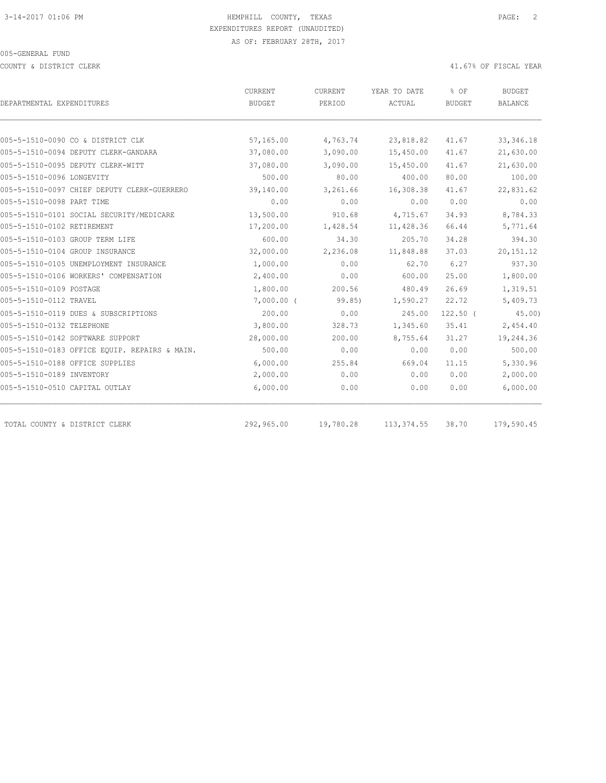COUNTY & DISTRICT CLERK 41.67% OF FISCAL YEAR

|                                               | CURRENT      | CURRENT   | YEAR TO DATE | % OF          | BUDGET         |  |
|-----------------------------------------------|--------------|-----------|--------------|---------------|----------------|--|
| DEPARTMENTAL EXPENDITURES                     | BUDGET       | PERIOD    | ACTUAL       | <b>BUDGET</b> | <b>BALANCE</b> |  |
|                                               |              |           |              |               |                |  |
| 005-5-1510-0090 CO & DISTRICT CLK             | 57,165.00    | 4,763.74  | 23,818.82    | 41.67         | 33, 346.18     |  |
| 005-5-1510-0094 DEPUTY CLERK-GANDARA          | 37,080.00    | 3,090.00  | 15,450.00    | 41.67         | 21,630.00      |  |
| 005-5-1510-0095 DEPUTY CLERK-WITT             | 37,080.00    | 3,090.00  | 15,450.00    | 41.67         | 21,630.00      |  |
| 005-5-1510-0096 LONGEVITY                     | 500.00       | 80.00     | 400.00       | 80.00         | 100.00         |  |
| 005-5-1510-0097 CHIEF DEPUTY CLERK-GUERRERO   | 39,140.00    | 3,261.66  | 16,308.38    | 41.67         | 22,831.62      |  |
| 005-5-1510-0098 PART TIME                     | 0.00         | 0.00      | 0.00         | 0.00          | 0.00           |  |
| 005-5-1510-0101 SOCIAL SECURITY/MEDICARE      | 13,500.00    | 910.68    | 4,715.67     | 34.93         | 8,784.33       |  |
| 005-5-1510-0102 RETIREMENT                    | 17,200.00    | 1,428.54  | 11,428.36    | 66.44         | 5,771.64       |  |
| 005-5-1510-0103 GROUP TERM LIFE               | 600.00       | 34.30     | 205.70       | 34.28         | 394.30         |  |
| 005-5-1510-0104 GROUP INSURANCE               | 32,000.00    | 2,236.08  | 11,848.88    | 37.03         | 20, 151. 12    |  |
| 005-5-1510-0105 UNEMPLOYMENT INSURANCE        | 1,000.00     | 0.00      | 62.70        | 6.27          | 937.30         |  |
| 005-5-1510-0106 WORKERS' COMPENSATION         | 2,400.00     | 0.00      | 600.00       | 25.00         | 1,800.00       |  |
| 005-5-1510-0109 POSTAGE                       | 1,800.00     | 200.56    | 480.49       | 26.69         | 1,319.51       |  |
| 005-5-1510-0112 TRAVEL                        | $7,000.00$ ( | 99.85)    | 1,590.27     | 22.72         | 5,409.73       |  |
| 005-5-1510-0119 DUES & SUBSCRIPTIONS          | 200.00       | 0.00      | 245.00       | $122.50$ (    | 45.00          |  |
| 005-5-1510-0132 TELEPHONE                     | 3,800.00     | 328.73    | 1,345.60     | 35.41         | 2,454.40       |  |
| 005-5-1510-0142 SOFTWARE SUPPORT              | 28,000.00    | 200.00    | 8,755.64     | 31.27         | 19,244.36      |  |
| 005-5-1510-0183 OFFICE EQUIP. REPAIRS & MAIN. | 500.00       | 0.00      | 0.00         | 0.00          | 500.00         |  |
| 005-5-1510-0188 OFFICE SUPPLIES               | 6,000.00     | 255.84    | 669.04       | 11.15         | 5,330.96       |  |
| 005-5-1510-0189 INVENTORY                     | 2,000.00     | 0.00      | 0.00         | 0.00          | 2,000.00       |  |
| 005-5-1510-0510 CAPITAL OUTLAY                | 6,000.00     | 0.00      | 0.00         | 0.00          | 6,000.00       |  |
|                                               |              |           |              |               |                |  |
| TOTAL COUNTY & DISTRICT CLERK                 | 292,965.00   | 19,780.28 | 113, 374.55  | 38.70         | 179,590.45     |  |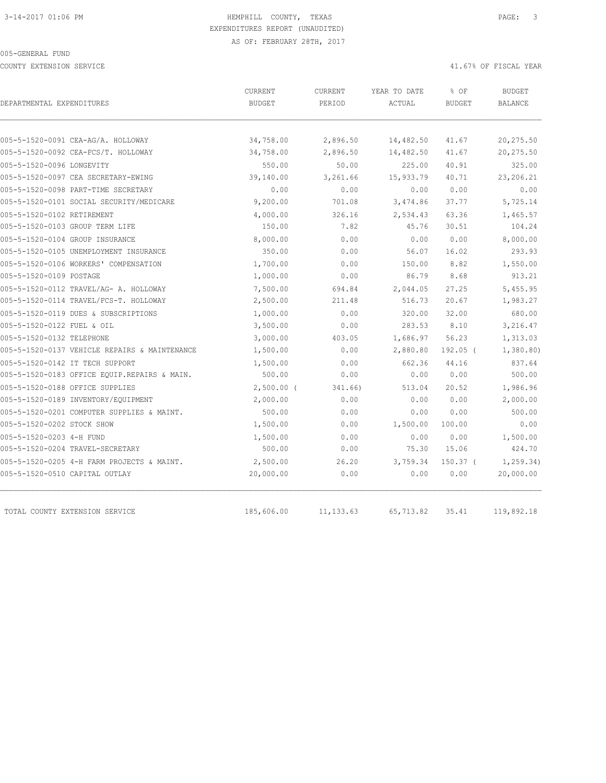COUNTY EXTENSION SERVICE 41.67% OF FISCAL YEAR

| DEPARTMENTAL EXPENDITURES                     | CURRENT<br><b>BUDGET</b> | CURRENT<br>PERIOD | YEAR TO DATE<br>ACTUAL | % OF<br><b>BUDGET</b> | <b>BUDGET</b><br>BALANCE |
|-----------------------------------------------|--------------------------|-------------------|------------------------|-----------------------|--------------------------|
|                                               |                          |                   |                        |                       |                          |
| 005-5-1520-0091 CEA-AG/A. HOLLOWAY            | 34,758.00                | 2,896.50          | 14,482.50              | 41.67                 | 20,275.50                |
| 005-5-1520-0092 CEA-FCS/T. HOLLOWAY           | 34,758.00                | 2,896.50          | 14,482.50              | 41.67                 | 20,275.50                |
| 005-5-1520-0096 LONGEVITY                     | 550.00                   | 50.00             | 225.00                 | 40.91                 | 325.00                   |
| 005-5-1520-0097 CEA SECRETARY-EWING           | 39,140.00                | 3,261.66          | 15,933.79              | 40.71                 | 23,206.21                |
| 005-5-1520-0098 PART-TIME SECRETARY           | 0.00                     | 0.00              | 0.00                   | 0.00                  | 0.00                     |
| 005-5-1520-0101 SOCIAL SECURITY/MEDICARE      | 9,200.00                 | 701.08            | 3,474.86               | 37.77                 | 5,725.14                 |
| 005-5-1520-0102 RETIREMENT                    | 4,000.00                 | 326.16            | 2,534.43               | 63.36                 | 1,465.57                 |
| 005-5-1520-0103 GROUP TERM LIFE               | 150.00                   | 7.82              | 45.76                  | 30.51                 | 104.24                   |
| 005-5-1520-0104 GROUP INSURANCE               | 8,000.00                 | 0.00              | 0.00                   | 0.00                  | 8,000.00                 |
| 005-5-1520-0105 UNEMPLOYMENT INSURANCE        | 350.00                   | 0.00              | 56.07                  | 16.02                 | 293.93                   |
| 005-5-1520-0106 WORKERS' COMPENSATION         | 1,700.00                 | 0.00              | 150.00                 | 8.82                  | 1,550.00                 |
| 005-5-1520-0109 POSTAGE                       | 1,000.00                 | 0.00              | 86.79                  | 8.68                  | 913.21                   |
| 005-5-1520-0112 TRAVEL/AG- A. HOLLOWAY        | 7,500.00                 | 694.84            | 2,044.05               | 27.25                 | 5,455.95                 |
| 005-5-1520-0114 TRAVEL/FCS-T. HOLLOWAY        | 2,500.00                 | 211.48            | 516.73                 | 20.67                 | 1,983.27                 |
| 005-5-1520-0119 DUES & SUBSCRIPTIONS          | 1,000.00                 | 0.00              | 320.00                 | 32.00                 | 680.00                   |
| 005-5-1520-0122 FUEL & OIL                    | 3,500.00                 | 0.00              | 283.53                 | 8.10                  | 3,216.47                 |
| 005-5-1520-0132 TELEPHONE                     | 3,000.00                 | 403.05            | 1,686.97               | 56.23                 | 1,313.03                 |
| 005-5-1520-0137 VEHICLE REPAIRS & MAINTENANCE | 1,500.00                 | 0.00              | 2,880.80               | $192.05$ (            | 1,380.80)                |
| 005-5-1520-0142 IT TECH SUPPORT               | 1,500.00                 | 0.00              | 662.36                 | 44.16                 | 837.64                   |
| 005-5-1520-0183 OFFICE EQUIP.REPAIRS & MAIN.  | 500.00                   | 0.00              | 0.00                   | 0.00                  | 500.00                   |
| 005-5-1520-0188 OFFICE SUPPLIES               | $2,500.00$ (             | 341.66)           | 513.04                 | 20.52                 | 1,986.96                 |
| 005-5-1520-0189 INVENTORY/EQUIPMENT           | 2,000.00                 | 0.00              | 0.00                   | 0.00                  | 2,000.00                 |
| 005-5-1520-0201 COMPUTER SUPPLIES & MAINT.    | 500.00                   | 0.00              | 0.00                   | 0.00                  | 500.00                   |
| 005-5-1520-0202 STOCK SHOW                    | 1,500.00                 | 0.00              | 1,500.00               | 100.00                | 0.00                     |
| 005-5-1520-0203 4-H FUND                      | 1,500.00                 | 0.00              | 0.00                   | 0.00                  | 1,500.00                 |
| 005-5-1520-0204 TRAVEL-SECRETARY              | 500.00                   | 0.00              | 75.30                  | 15.06                 | 424.70                   |
| 005-5-1520-0205 4-H FARM PROJECTS & MAINT.    | 2,500.00                 | 26.20             | 3,759.34               | $150.37$ (            | 1, 259.34)               |
| 005-5-1520-0510 CAPITAL OUTLAY                | 20,000.00                | 0.00              | 0.00                   | 0.00                  | 20,000.00                |
| TOTAL COUNTY EXTENSION SERVICE                | 185,606.00               | 11, 133.63        | 65,713.82              | 35.41                 | 119,892.18               |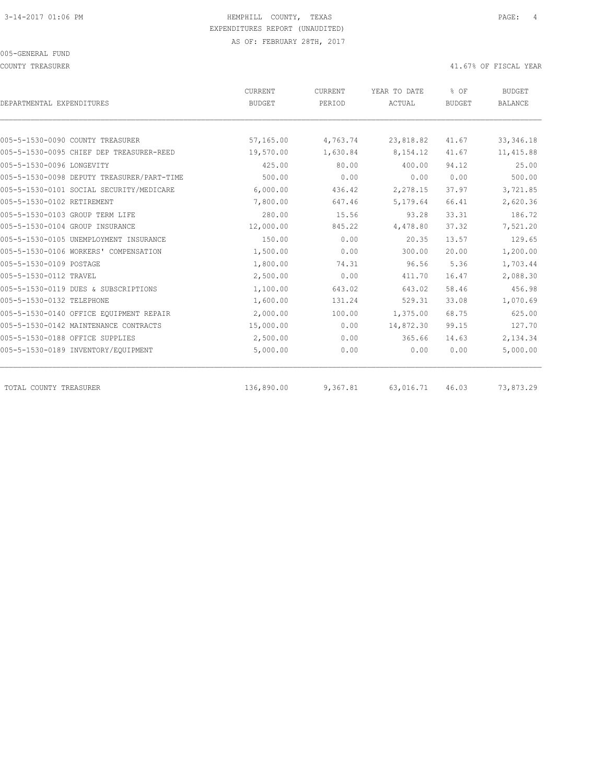#### COUNTY TREASURER **ALL ASSESSES ASSESSED A** 41.67% OF FISCAL YEAR

| DEPARTMENTAL EXPENDITURES                  | CURRENT<br><b>BUDGET</b> | CURRENT<br>PERIOD | YEAR TO DATE<br>ACTUAL | % OF<br><b>BUDGET</b> | <b>BUDGET</b><br><b>BALANCE</b> |
|--------------------------------------------|--------------------------|-------------------|------------------------|-----------------------|---------------------------------|
| 005-5-1530-0090 COUNTY TREASURER           | 57,165.00                | 4,763.74          |                        | 41.67                 |                                 |
| 005-5-1530-0095 CHIEF DEP TREASURER-REED   | 19,570.00                | 1,630.84          | 23,818.82<br>8,154.12  | 41.67                 | 33, 346.18<br>11, 415.88        |
| 005-5-1530-0096 LONGEVITY                  | 425.00                   | 80.00             | 400.00                 | 94.12                 | 25.00                           |
| 005-5-1530-0098 DEPUTY TREASURER/PART-TIME | 500.00                   | 0.00              | 0.00                   | 0.00                  | 500.00                          |
| 005-5-1530-0101 SOCIAL SECURITY/MEDICARE   |                          |                   |                        | 37.97                 |                                 |
| 005-5-1530-0102 RETIREMENT                 | 6,000.00<br>7,800.00     | 436.42<br>647.46  | 2,278.15<br>5,179.64   | 66.41                 | 3,721.85<br>2,620.36            |
|                                            |                          |                   |                        |                       |                                 |
| 005-5-1530-0103 GROUP TERM LIFE            | 280.00                   | 15.56             | 93.28                  | 33.31                 | 186.72                          |
| 005-5-1530-0104 GROUP INSURANCE            | 12,000.00                | 845.22            | 4,478.80               | 37.32                 | 7,521.20                        |
| 005-5-1530-0105 UNEMPLOYMENT INSURANCE     | 150.00                   | 0.00              | 20.35                  | 13.57                 | 129.65                          |
| 005-5-1530-0106 WORKERS' COMPENSATION      | 1,500.00                 | 0.00              | 300.00                 | 20.00                 | 1,200.00                        |
| 005-5-1530-0109 POSTAGE                    | 1,800.00                 | 74.31             | 96.56                  | 5.36                  | 1,703.44                        |
| 005-5-1530-0112 TRAVEL                     | 2,500.00                 | 0.00              | 411.70                 | 16.47                 | 2,088.30                        |
| 005-5-1530-0119 DUES & SUBSCRIPTIONS       | 1,100.00                 | 643.02            | 643.02                 | 58.46                 | 456.98                          |
| 005-5-1530-0132 TELEPHONE                  | 1,600.00                 | 131.24            | 529.31                 | 33.08                 | 1,070.69                        |
| 005-5-1530-0140 OFFICE EOUIPMENT REPAIR    | 2,000.00                 | 100.00            | 1,375.00               | 68.75                 | 625.00                          |
| 005-5-1530-0142 MAINTENANCE CONTRACTS      | 15,000.00                | 0.00              | 14,872.30              | 99.15                 | 127.70                          |
| 005-5-1530-0188 OFFICE SUPPLIES            | 2,500.00                 | 0.00              | 365.66                 | 14.63                 | 2,134.34                        |
| 005-5-1530-0189 INVENTORY/EQUIPMENT        | 5,000.00                 | 0.00              | 0.00                   | 0.00                  | 5,000.00                        |
| TOTAL COUNTY TREASURER                     | 136,890.00               | 9,367.81          | 63,016.71              | 46.03                 | 73,873.29                       |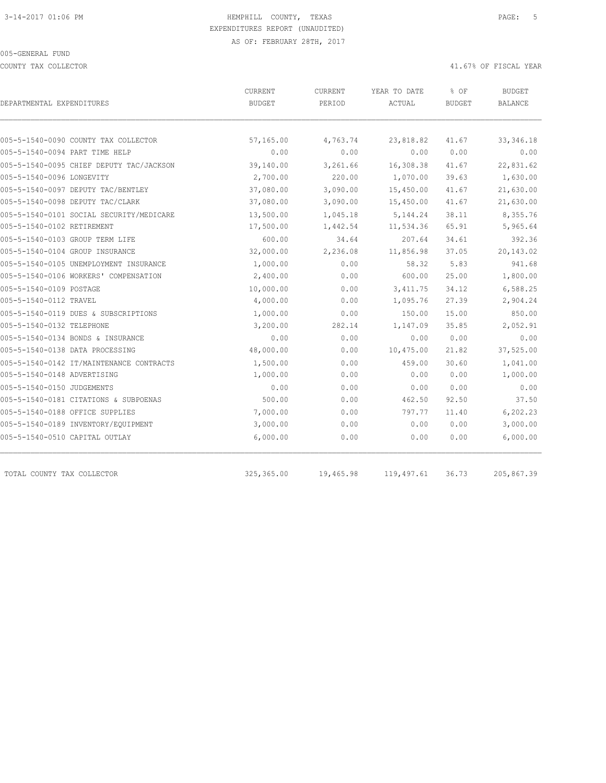COUNTY TAX COLLECTOR 41.67% OF FISCAL YEAR

| DEPARTMENTAL EXPENDITURES                | CURRENT<br><b>BUDGET</b> | CURRENT<br>PERIOD | YEAR TO DATE<br>ACTUAL | % OF<br><b>BUDGET</b> | BUDGET<br>BALANCE |
|------------------------------------------|--------------------------|-------------------|------------------------|-----------------------|-------------------|
|                                          |                          |                   |                        |                       |                   |
| 005-5-1540-0090 COUNTY TAX COLLECTOR     | 57,165.00                | 4,763.74          | 23,818.82              | 41.67                 | 33, 346.18        |
| 005-5-1540-0094 PART TIME HELP           | 0.00                     | 0.00              | 0.00                   | 0.00                  | 0.00              |
| 005-5-1540-0095 CHIEF DEPUTY TAC/JACKSON | 39,140.00                | 3,261.66          | 16,308.38              | 41.67                 | 22,831.62         |
| 005-5-1540-0096 LONGEVITY                | 2,700.00                 | 220.00            | 1,070.00               | 39.63                 | 1,630.00          |
| 005-5-1540-0097 DEPUTY TAC/BENTLEY       | 37,080.00                | 3,090.00          | 15,450.00              | 41.67                 | 21,630.00         |
| 005-5-1540-0098 DEPUTY TAC/CLARK         | 37,080.00                | 3,090.00          | 15,450.00              | 41.67                 | 21,630.00         |
| 005-5-1540-0101 SOCIAL SECURITY/MEDICARE | 13,500.00                | 1,045.18          | 5, 144.24              | 38.11                 | 8,355.76          |
| 005-5-1540-0102 RETIREMENT               | 17,500.00                | 1,442.54          | 11,534.36              | 65.91                 | 5,965.64          |
| 005-5-1540-0103 GROUP TERM LIFE          | 600.00                   | 34.64             | 207.64                 | 34.61                 | 392.36            |
| 005-5-1540-0104 GROUP INSURANCE          | 32,000.00                | 2,236.08          | 11,856.98              | 37.05                 | 20,143.02         |
| 005-5-1540-0105 UNEMPLOYMENT INSURANCE   | 1,000.00                 | 0.00              | 58.32                  | 5.83                  | 941.68            |
| 005-5-1540-0106 WORKERS' COMPENSATION    | 2,400.00                 | 0.00              | 600.00                 | 25.00                 | 1,800.00          |
| 005-5-1540-0109 POSTAGE                  | 10,000.00                | 0.00              | 3, 411.75              | 34.12                 | 6,588.25          |
| 005-5-1540-0112 TRAVEL                   | 4,000.00                 | 0.00              | 1,095.76               | 27.39                 | 2,904.24          |
| 005-5-1540-0119 DUES & SUBSCRIPTIONS     | 1,000.00                 | 0.00              | 150.00                 | 15.00                 | 850.00            |
| 005-5-1540-0132 TELEPHONE                | 3,200.00                 | 282.14            | 1,147.09               | 35.85                 | 2,052.91          |
| 005-5-1540-0134 BONDS & INSURANCE        | 0.00                     | 0.00              | 0.00                   | 0.00                  | 0.00              |
| 005-5-1540-0138 DATA PROCESSING          | 48,000.00                | 0.00              | 10,475.00              | 21.82                 | 37,525.00         |
| 005-5-1540-0142 IT/MAINTENANCE CONTRACTS | 1,500.00                 | 0.00              | 459.00                 | 30.60                 | 1,041.00          |
| 005-5-1540-0148 ADVERTISING              | 1,000.00                 | 0.00              | 0.00                   | 0.00                  | 1,000.00          |
| 005-5-1540-0150 JUDGEMENTS               | 0.00                     | 0.00              | 0.00                   | 0.00                  | 0.00              |
| 005-5-1540-0181 CITATIONS & SUBPOENAS    | 500.00                   | 0.00              | 462.50                 | 92.50                 | 37.50             |
| 005-5-1540-0188 OFFICE SUPPLIES          | 7,000.00                 | 0.00              | 797.77                 | 11.40                 | 6,202.23          |
| 005-5-1540-0189 INVENTORY/EQUIPMENT      | 3,000.00                 | 0.00              | 0.00                   | 0.00                  | 3,000.00          |
| 005-5-1540-0510 CAPITAL OUTLAY           | 6,000.00                 | 0.00              | 0.00                   | 0.00                  | 6,000.00          |
| TOTAL COUNTY TAX COLLECTOR               | 325, 365.00              | 19,465.98         | 119,497.61             | 36.73                 | 205,867.39        |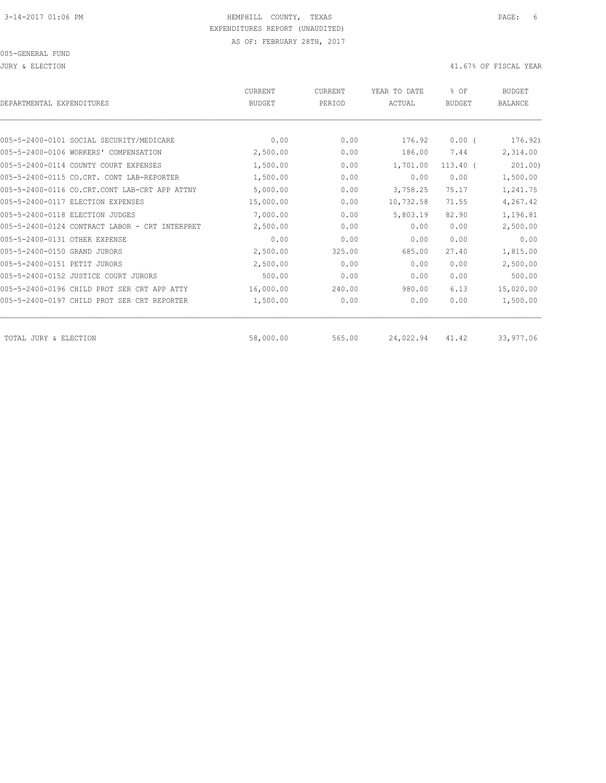| DEPARTMENTAL EXPENDITURES                      | CURRENT<br><b>BUDGET</b> | <b>CURRENT</b><br>PERIOD | YEAR TO DATE<br>ACTUAL | % OF<br><b>BUDGET</b> | BUDGET<br><b>BALANCE</b> |
|------------------------------------------------|--------------------------|--------------------------|------------------------|-----------------------|--------------------------|
|                                                |                          |                          |                        |                       |                          |
| 005-5-2400-0101 SOCIAL SECURITY/MEDICARE       | 0.00                     | 0.00                     | 176.92                 | $0.00$ (              | 176.92)                  |
| 005-5-2400-0106 WORKERS' COMPENSATION          | 2,500.00                 | 0.00                     | 186.00                 | 7.44                  | 2,314.00                 |
| 005-5-2400-0114 COUNTY COURT EXPENSES          | 1,500.00                 | 0.00                     | 1,701.00               | $113.40$ (            | 201.00                   |
| 005-5-2400-0115 CO.CRT. CONT LAB-REPORTER      | 1,500.00                 | 0.00                     | 0.00                   | 0.00                  | 1,500.00                 |
| 005-5-2400-0116 CO.CRT.CONT LAB-CRT APP ATTNY  | 5,000.00                 | 0.00                     | 3,758.25               | 75.17                 | 1,241.75                 |
| 005-5-2400-0117 ELECTION EXPENSES              | 15,000.00                | 0.00                     | 10,732.58              | 71.55                 | 4,267.42                 |
| 005-5-2400-0118 ELECTION JUDGES                | 7,000.00                 | 0.00                     | 5,803.19               | 82.90                 | 1,196.81                 |
| 005-5-2400-0124 CONTRACT LABOR - CRT INTERPRET | 2,500.00                 | 0.00                     | 0.00                   | 0.00                  | 2,500.00                 |
| 005-5-2400-0131 OTHER EXPENSE                  | 0.00                     | 0.00                     | 0.00                   | 0.00                  | 0.00                     |
| 005-5-2400-0150 GRAND JURORS                   | 2,500.00                 | 325.00                   | 685.00                 | 27.40                 | 1,815.00                 |
| 005-5-2400-0151 PETIT JURORS                   | 2,500.00                 | 0.00                     | 0.00                   | 0.00                  | 2,500.00                 |
| 005-5-2400-0152 JUSTICE COURT JURORS           | 500.00                   | 0.00                     | 0.00                   | 0.00                  | 500.00                   |
| 005-5-2400-0196 CHILD PROT SER CRT APP ATTY    | 16,000.00                | 240.00                   | 980.00                 | 6.13                  | 15,020.00                |
| 005-5-2400-0197 CHILD PROT SER CRT REPORTER    | 1,500.00                 | 0.00                     | 0.00                   | 0.00                  | 1,500.00                 |
| TOTAL JURY & ELECTION                          | 58,000.00                | 565.00                   | 24,022.94              | 41.42                 | 33,977.06                |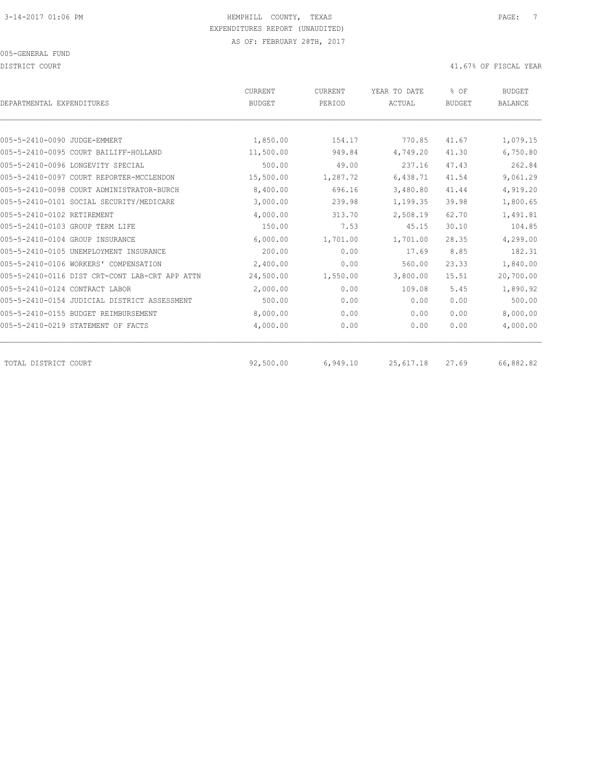DISTRICT COURT COURT COURT COURT COURT COURT COURT COURT COURT COURT COURT COURT COURT COURT COURT COURT COURT

| DEPARTMENTAL EXPENDITURES                      | CURRENT<br><b>BUDGET</b> | CURRENT<br>PERIOD | YEAR TO DATE<br>ACTUAL | % OF<br><b>BUDGET</b> | <b>BUDGET</b><br><b>BALANCE</b> |
|------------------------------------------------|--------------------------|-------------------|------------------------|-----------------------|---------------------------------|
|                                                |                          |                   |                        |                       |                                 |
| 005-5-2410-0090 JUDGE-EMMERT                   | 1,850.00                 | 154.17            | 770.85                 | 41.67                 | 1,079.15                        |
| 005-5-2410-0095 COURT BAILIFF-HOLLAND          | 11,500.00                | 949.84            | 4,749.20               | 41.30                 | 6,750.80                        |
| 005-5-2410-0096 LONGEVITY SPECIAL              | 500.00                   | 49.00             | 237.16                 | 47.43                 | 262.84                          |
| 005-5-2410-0097 COURT REPORTER-MCCLENDON       | 15,500.00                | 1,287.72          | 6,438.71               | 41.54                 | 9,061.29                        |
| 005-5-2410-0098 COURT ADMINISTRATOR-BURCH      | 8,400.00                 | 696.16            | 3,480.80               | 41.44                 | 4,919.20                        |
| 005-5-2410-0101 SOCIAL SECURITY/MEDICARE       | 3,000.00                 | 239.98            | 1,199.35               | 39.98                 | 1,800.65                        |
| 005-5-2410-0102 RETIREMENT                     | 4,000.00                 | 313.70            | 2,508.19               | 62.70                 | 1,491.81                        |
| 005-5-2410-0103 GROUP TERM LIFE                | 150.00                   | 7.53              | 45.15                  | 30.10                 | 104.85                          |
| 005-5-2410-0104 GROUP INSURANCE                | 6,000.00                 | 1,701.00          | 1,701.00               | 28.35                 | 4,299.00                        |
| 005-5-2410-0105 UNEMPLOYMENT INSURANCE         | 200.00                   | 0.00              | 17.69                  | 8.85                  | 182.31                          |
| 005-5-2410-0106 WORKERS' COMPENSATION          | 2,400.00                 | 0.00              | 560.00                 | 23.33                 | 1,840.00                        |
| 005-5-2410-0116 DIST CRT-CONT LAB-CRT APP ATTN | 24,500.00                | 1,550.00          | 3,800.00               | 15.51                 | 20,700.00                       |
| 005-5-2410-0124 CONTRACT LABOR                 | 2,000.00                 | 0.00              | 109.08                 | 5.45                  | 1,890.92                        |
| 005-5-2410-0154 JUDICIAL DISTRICT ASSESSMENT   | 500.00                   | 0.00              | 0.00                   | 0.00                  | 500.00                          |
| 005-5-2410-0155 BUDGET REIMBURSEMENT           | 8,000.00                 | 0.00              | 0.00                   | 0.00                  | 8,000.00                        |
| 005-5-2410-0219 STATEMENT OF FACTS             | 4,000.00                 | 0.00              | 0.00                   | 0.00                  | 4,000.00                        |
| TOTAL DISTRICT COURT                           | 92,500.00                | 6,949.10          | 25,617.18              | 27.69                 | 66,882.82                       |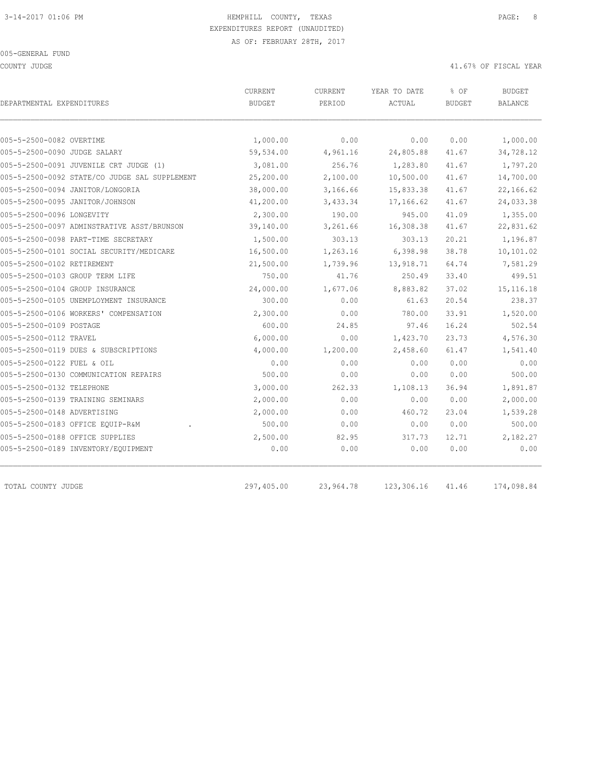COUNTY JUDGE 41.67% OF FISCAL YEAR

| DEPARTMENTAL EXPENDITURES                     | CURRENT<br><b>BUDGET</b> | <b>CURRENT</b><br>PERIOD | YEAR TO DATE<br>ACTUAL | % OF<br><b>BUDGET</b> | <b>BUDGET</b><br>BALANCE |
|-----------------------------------------------|--------------------------|--------------------------|------------------------|-----------------------|--------------------------|
|                                               |                          |                          |                        |                       |                          |
| 005-5-2500-0082 OVERTIME                      | 1,000.00                 | 0.00                     | 0.00                   | 0.00                  | 1,000.00                 |
| 005-5-2500-0090 JUDGE SALARY                  | 59,534.00                | 4,961.16                 | 24,805.88              | 41.67                 | 34,728.12                |
| 005-5-2500-0091 JUVENILE CRT JUDGE (1)        | 3,081.00                 | 256.76                   | 1,283.80               | 41.67                 | 1,797.20                 |
| 005-5-2500-0092 STATE/CO JUDGE SAL SUPPLEMENT | 25,200.00                | 2,100.00                 | 10,500.00              | 41.67                 | 14,700.00                |
| 005-5-2500-0094 JANITOR/LONGORIA              | 38,000.00                | 3,166.66                 | 15,833.38              | 41.67                 | 22,166.62                |
| 005-5-2500-0095 JANITOR/JOHNSON               | 41,200.00                | 3,433.34                 | 17,166.62              | 41.67                 | 24,033.38                |
| 005-5-2500-0096 LONGEVITY                     | 2,300.00                 | 190.00                   | 945.00                 | 41.09                 | 1,355.00                 |
| 005-5-2500-0097 ADMINSTRATIVE ASST/BRUNSON    | 39,140.00                | 3,261.66                 | 16,308.38              | 41.67                 | 22,831.62                |
| 005-5-2500-0098 PART-TIME SECRETARY           | 1,500.00                 | 303.13                   | 303.13                 | 20.21                 | 1,196.87                 |
| 005-5-2500-0101 SOCIAL SECURITY/MEDICARE      | 16,500.00                | 1,263.16                 | 6,398.98               | 38.78                 | 10,101.02                |
| 005-5-2500-0102 RETIREMENT                    | 21,500.00                | 1,739.96                 | 13,918.71              | 64.74                 | 7,581.29                 |
| 005-5-2500-0103 GROUP TERM LIFE               | 750.00                   | 41.76                    | 250.49                 | 33.40                 | 499.51                   |
| 005-5-2500-0104 GROUP INSURANCE               | 24,000.00                | 1,677.06                 | 8,883.82               | 37.02                 | 15, 116. 18              |
| 005-5-2500-0105 UNEMPLOYMENT INSURANCE        | 300.00                   | 0.00                     | 61.63                  | 20.54                 | 238.37                   |
| 005-5-2500-0106 WORKERS' COMPENSATION         | 2,300.00                 | 0.00                     | 780.00                 | 33.91                 | 1,520.00                 |
| 005-5-2500-0109 POSTAGE                       | 600.00                   | 24.85                    | 97.46                  | 16.24                 | 502.54                   |
| 005-5-2500-0112 TRAVEL                        | 6,000.00                 | 0.00                     | 1,423.70               | 23.73                 | 4,576.30                 |
| 005-5-2500-0119 DUES & SUBSCRIPTIONS          | 4,000.00                 | 1,200.00                 | 2,458.60               | 61.47                 | 1,541.40                 |
| 005-5-2500-0122 FUEL & OIL                    | 0.00                     | 0.00                     | 0.00                   | 0.00                  | 0.00                     |
| 005-5-2500-0130 COMMUNICATION REPAIRS         | 500.00                   | 0.00                     | 0.00                   | 0.00                  | 500.00                   |
| 005-5-2500-0132 TELEPHONE                     | 3,000.00                 | 262.33                   | 1,108.13               | 36.94                 | 1,891.87                 |
| 005-5-2500-0139 TRAINING SEMINARS             | 2,000.00                 | 0.00                     | 0.00                   | 0.00                  | 2,000.00                 |
| 005-5-2500-0148 ADVERTISING                   | 2,000.00                 | 0.00                     | 460.72                 | 23.04                 | 1,539.28                 |
| 005-5-2500-0183 OFFICE EQUIP-R&M              | 500.00                   | 0.00                     | 0.00                   | 0.00                  | 500.00                   |
| 005-5-2500-0188 OFFICE SUPPLIES               | 2,500.00                 | 82.95                    | 317.73                 | 12.71                 | 2,182.27                 |
| 005-5-2500-0189 INVENTORY/EQUIPMENT           | 0.00                     | 0.00                     | 0.00                   | 0.00                  | 0.00                     |

TOTAL COUNTY JUDGE 297,405.00 23,964.78 123,306.16 41.46 174,098.84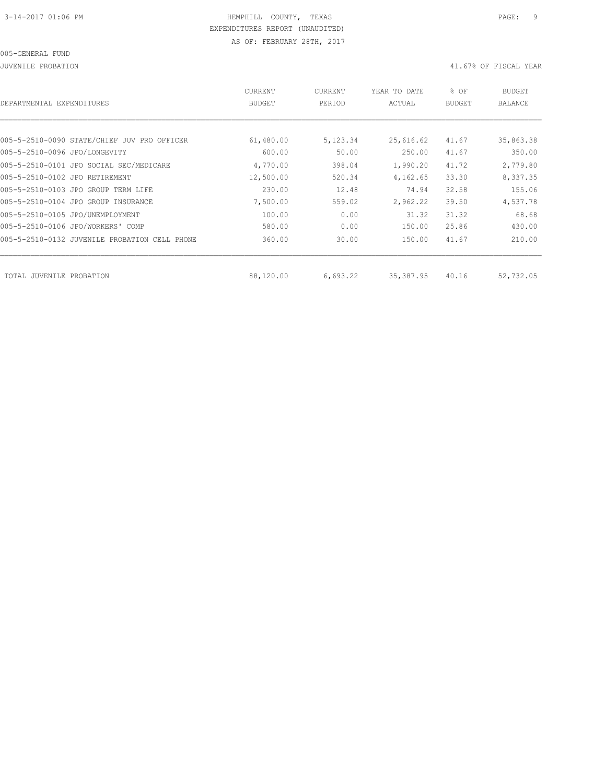JUVENILE PROBATION 41.67% OF FISCAL YEAR

| DEPARTMENTAL EXPENDITURES                        | CURRENT<br><b>BUDGET</b> | CURRENT<br>PERIOD | YEAR TO DATE<br>ACTUAL | % OF<br><b>BUDGET</b> | <b>BUDGET</b><br><b>BALANCE</b> |
|--------------------------------------------------|--------------------------|-------------------|------------------------|-----------------------|---------------------------------|
|                                                  |                          |                   |                        |                       |                                 |
| 005-5-2510-0090 STATE/CHIEF JUV PRO OFFICER      | 61,480.00                | 5,123.34          | 25,616.62              | 41.67                 | 35,863.38                       |
| 005-5-2510-0096 JPO/LONGEVITY                    | 600.00                   | 50.00             | 250.00                 | 41.67                 | 350.00                          |
| 005-5-2510-0101 JPO SOCIAL SEC/MEDICARE          | 4,770.00                 | 398.04            | 1,990.20               | 41.72                 | 2,779.80                        |
| 005-5-2510-0102 JPO RETIREMENT                   | 12,500.00                | 520.34            | 4,162.65               | 33.30                 | 8,337.35                        |
| 005-5-2510-0103 JPO GROUP TERM LIFE              | 230.00                   | 12.48             | 74.94                  | 32.58                 | 155.06                          |
| 005-5-2510-0104 JPO GROUP INSURANCE              | 7,500.00                 | 559.02            | 2,962.22               | 39.50                 | 4,537.78                        |
| 005-5-2510-0105 JPO/UNEMPLOYMENT                 | 100.00                   | 0.00              | 31.32                  | 31.32                 | 68.68                           |
| 005-5-2510-0106 JPO/WORKERS' COMP                | 580.00                   | 0.00              | 150.00                 | 25.86                 | 430.00                          |
| 005-5-2510-0132 JUVENILE PROBATION<br>CELL PHONE | 360.00                   | 30.00             | 150.00                 | 41.67                 | 210.00                          |
|                                                  |                          |                   |                        |                       |                                 |
| TOTAL JUVENILE PROBATION                         | 88,120.00                | 6,693.22          | 35,387.95              | 40.16                 | 52,732.05                       |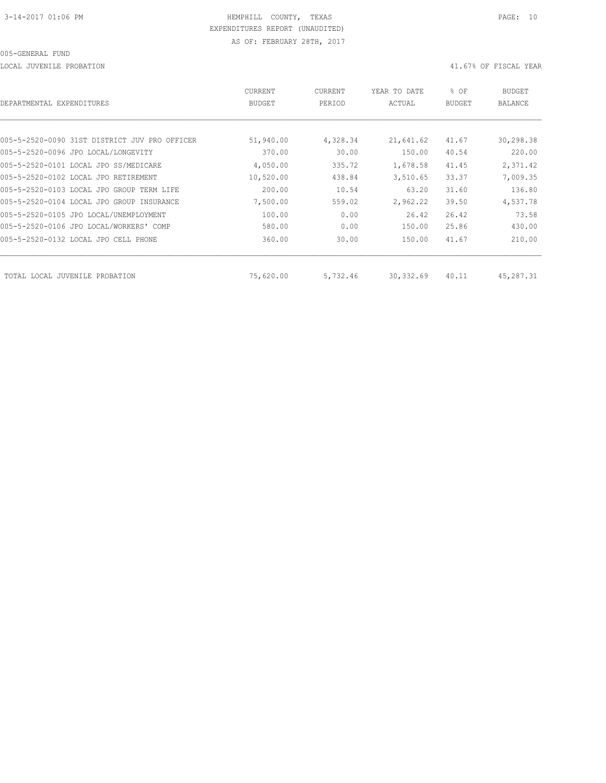LOCAL JUVENILE PROBATION 41.67% OF FISCAL YEAR

| DEPARTMENTAL EXPENDITURES                     | <b>CURRENT</b><br><b>BUDGET</b> | CURRENT<br>PERIOD | YEAR TO DATE<br>ACTUAL | % OF<br><b>BUDGET</b> | <b>BUDGET</b><br>BALANCE |
|-----------------------------------------------|---------------------------------|-------------------|------------------------|-----------------------|--------------------------|
|                                               |                                 |                   |                        |                       |                          |
| 005-5-2520-0090 31ST DISTRICT JUV PRO OFFICER | 51,940.00                       | 4,328.34          | 21,641.62              | 41.67                 | 30,298.38                |
| 005-5-2520-0096 JPO LOCAL/LONGEVITY           | 370.00                          | 30.00             | 150.00                 | 40.54                 | 220.00                   |
| 005-5-2520-0101 LOCAL JPO SS/MEDICARE         | 4,050.00                        | 335.72            | 1,678.58               | 41.45                 | 2,371.42                 |
| 005-5-2520-0102 LOCAL JPO RETIREMENT          | 10,520.00                       | 438.84            | 3,510.65               | 33.37                 | 7,009.35                 |
| 005-5-2520-0103 LOCAL JPO GROUP TERM LIFE     | 200.00                          | 10.54             | 63.20                  | 31.60                 | 136.80                   |
| 005-5-2520-0104 LOCAL JPO GROUP INSURANCE     | 7,500.00                        | 559.02            | 2,962.22               | 39.50                 | 4,537.78                 |
| 005-5-2520-0105 JPO LOCAL/UNEMPLOYMENT        | 100.00                          | 0.00              | 26.42                  | 26.42                 | 73.58                    |
| 005-5-2520-0106 JPO LOCAL/WORKERS' COMP       | 580.00                          | 0.00              | 150.00                 | 25.86                 | 430.00                   |
| 005-5-2520-0132 LOCAL JPO CELL PHONE          | 360.00                          | 30.00             | 150.00                 | 41.67                 | 210.00                   |
| TOTAL LOCAL JUVENILE<br>PROBATION             | 75,620.00                       | 5,732.46          | 30,332.69              | 40.11                 | 45,287.31                |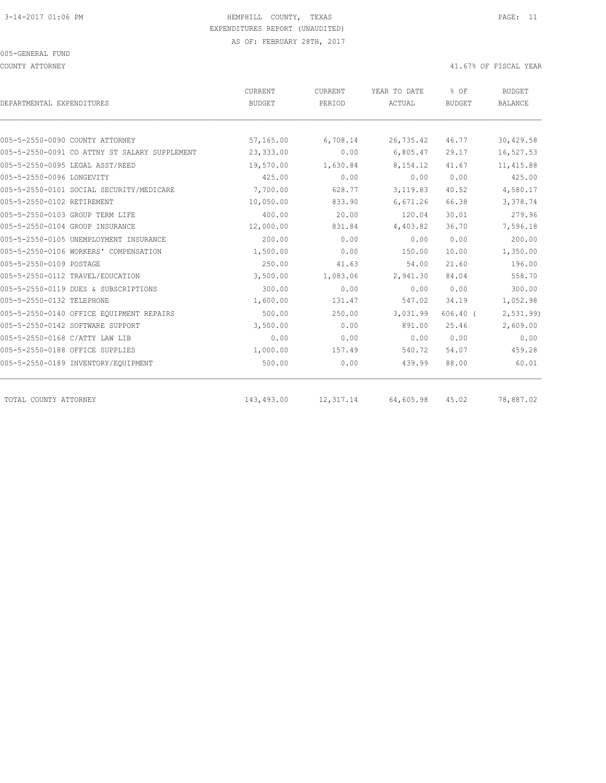COUNTY ATTORNEY 41.67% OF FISCAL YEAR

| DEPARTMENTAL EXPENDITURES                     | CURRENT<br><b>BUDGET</b> | CURRENT<br>PERIOD | YEAR TO DATE<br>ACTUAL | % OF<br><b>BUDGET</b> | <b>BUDGET</b><br><b>BALANCE</b> |
|-----------------------------------------------|--------------------------|-------------------|------------------------|-----------------------|---------------------------------|
|                                               |                          |                   |                        |                       |                                 |
| 005-5-2550-0090 COUNTY ATTORNEY               | 57,165.00                | 6,708.14          | 26,735.42              | 46.77                 | 30,429.58                       |
| 005-5-2550-0091 CO ATTNY ST SALARY SUPPLEMENT | 23,333.00                | 0.00              | 6,805.47               | 29.17                 | 16,527.53                       |
| 005-5-2550-0095 LEGAL ASST/REED               | 19,570.00                | 1,630.84          | 8,154.12               | 41.67                 | 11, 415.88                      |
| 005-5-2550-0096 LONGEVITY                     | 425.00                   | 0.00              | 0.00                   | 0.00                  | 425.00                          |
| 005-5-2550-0101 SOCIAL SECURITY/MEDICARE      | 7,700.00                 | 628.77            | 3,119.83               | 40.52                 | 4,580.17                        |
| 005-5-2550-0102 RETIREMENT                    | 10,050.00                | 833.90            | 6,671.26               | 66.38                 | 3,378.74                        |
| 005-5-2550-0103 GROUP TERM LIFE               | 400.00                   | 20.00             | 120.04                 | 30.01                 | 279.96                          |
| 005-5-2550-0104 GROUP INSURANCE               | 12,000.00                | 831.84            | 4,403.82               | 36.70                 | 7,596.18                        |
| 005-5-2550-0105 UNEMPLOYMENT INSURANCE        | 200.00                   | 0.00              | 0.00                   | 0.00                  | 200.00                          |
| 005-5-2550-0106 WORKERS' COMPENSATION         | 1,500.00                 | 0.00              | 150.00                 | 10.00                 | 1,350.00                        |
| 005-5-2550-0109 POSTAGE                       | 250.00                   | 41.63             | 54.00                  | 21.60                 | 196.00                          |
| 005-5-2550-0112 TRAVEL/EDUCATION              | 3,500.00                 | 1,083.06          | 2,941.30               | 84.04                 | 558.70                          |
| 005-5-2550-0119 DUES & SUBSCRIPTIONS          | 300.00                   | 0.00              | 0.00                   | 0.00                  | 300.00                          |
| 005-5-2550-0132 TELEPHONE                     | 1,600.00                 | 131.47            | 547.02                 | 34.19                 | 1,052.98                        |
| 005-5-2550-0140 OFFICE EQUIPMENT REPAIRS      | 500.00                   | 250.00            | 3,031.99               | $606.40$ (            | 2, 531.99                       |
| 005-5-2550-0142 SOFTWARE SUPPORT              | 3,500.00                 | 0.00              | 891.00                 | 25.46                 | 2,609.00                        |
| 005-5-2550-0168 C/ATTY LAW LIB                | 0.00                     | 0.00              | 0.00                   | 0.00                  | 0.00                            |
| 005-5-2550-0188 OFFICE SUPPLIES               | 1,000.00                 | 157.49            | 540.72                 | 54.07                 | 459.28                          |
| 005-5-2550-0189 INVENTORY/EQUIPMENT           | 500.00                   | 0.00              | 439.99                 | 88.00                 | 60.01                           |
| TOTAL COUNTY ATTORNEY                         | 143,493.00               | 12,317.14         | 64,605.98              | 45.02                 | 78,887.02                       |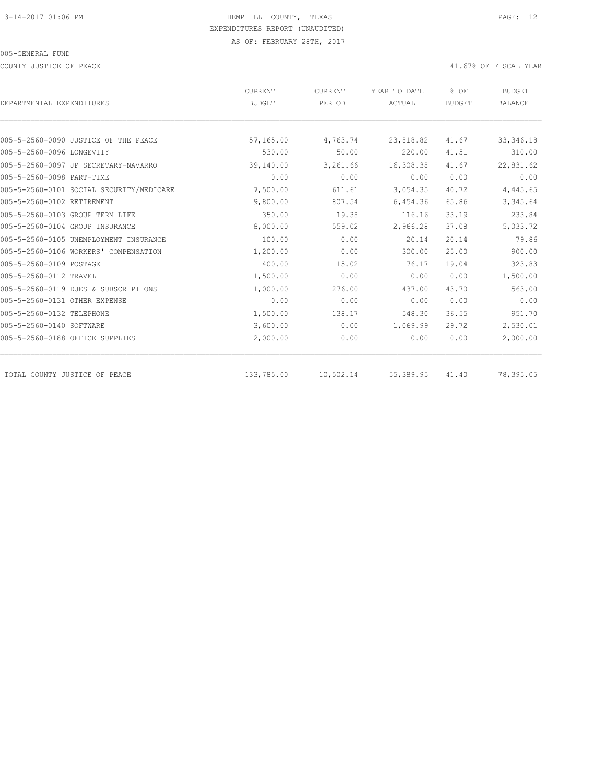COUNTY JUSTICE OF PEACE **Alternative COUNTY ACCOUNTY ACCOUNTY** JUSTICE OF FISCAL YEAR

| DEPARTMENTAL EXPENDITURES                | CURRENT<br>CURRENT |           | YEAR TO DATE | % OF          | <b>BUDGET</b>  |
|------------------------------------------|--------------------|-----------|--------------|---------------|----------------|
|                                          | <b>BUDGET</b>      | PERIOD    | ACTUAL       | <b>BUDGET</b> | <b>BALANCE</b> |
|                                          |                    |           |              |               |                |
| 005-5-2560-0090 JUSTICE OF THE PEACE     | 57,165.00          | 4,763.74  | 23,818.82    | 41.67         | 33, 346.18     |
| 005-5-2560-0096 LONGEVITY                | 530.00             | 50.00     | 220.00       | 41.51         | 310.00         |
| 005-5-2560-0097 JP SECRETARY-NAVARRO     | 39,140.00          | 3,261.66  | 16,308.38    | 41.67         | 22,831.62      |
| 005-5-2560-0098 PART-TIME                | 0.00               | 0.00      | 0.00         | 0.00          | 0.00           |
| 005-5-2560-0101 SOCIAL SECURITY/MEDICARE | 7,500.00           | 611.61    | 3,054.35     | 40.72         | 4,445.65       |
| 005-5-2560-0102 RETIREMENT               | 9,800.00           | 807.54    | 6,454.36     | 65.86         | 3,345.64       |
| 005-5-2560-0103 GROUP TERM LIFE          | 350.00             | 19.38     | 116.16       | 33.19         | 233.84         |
| 005-5-2560-0104 GROUP INSURANCE          | 8,000.00           | 559.02    | 2,966.28     | 37.08         | 5,033.72       |
| 005-5-2560-0105 UNEMPLOYMENT INSURANCE   | 100.00             | 0.00      | 20.14        | 20.14         | 79.86          |
| 005-5-2560-0106 WORKERS' COMPENSATION    | 1,200.00           | 0.00      | 300.00       | 25.00         | 900.00         |
| 005-5-2560-0109 POSTAGE                  | 400.00             | 15.02     | 76.17        | 19.04         | 323.83         |
| 005-5-2560-0112 TRAVEL                   | 1,500.00           | 0.00      | 0.00         | 0.00          | 1,500.00       |
| 005-5-2560-0119 DUES & SUBSCRIPTIONS     | 1,000.00           | 276.00    | 437.00       | 43.70         | 563.00         |
| 005-5-2560-0131 OTHER EXPENSE            | 0.00               | 0.00      | 0.00         | 0.00          | 0.00           |
| 005-5-2560-0132 TELEPHONE                | 1,500.00           | 138.17    | 548.30       | 36.55         | 951.70         |
| 005-5-2560-0140 SOFTWARE                 | 3,600.00           | 0.00      | 1,069.99     | 29.72         | 2,530.01       |
| 005-5-2560-0188 OFFICE SUPPLIES          | 2,000.00           | 0.00      | 0.00         | 0.00          | 2,000.00       |
| TOTAL COUNTY JUSTICE OF PEACE            | 133,785.00         | 10,502.14 | 55,389.95    | 41.40         | 78,395.05      |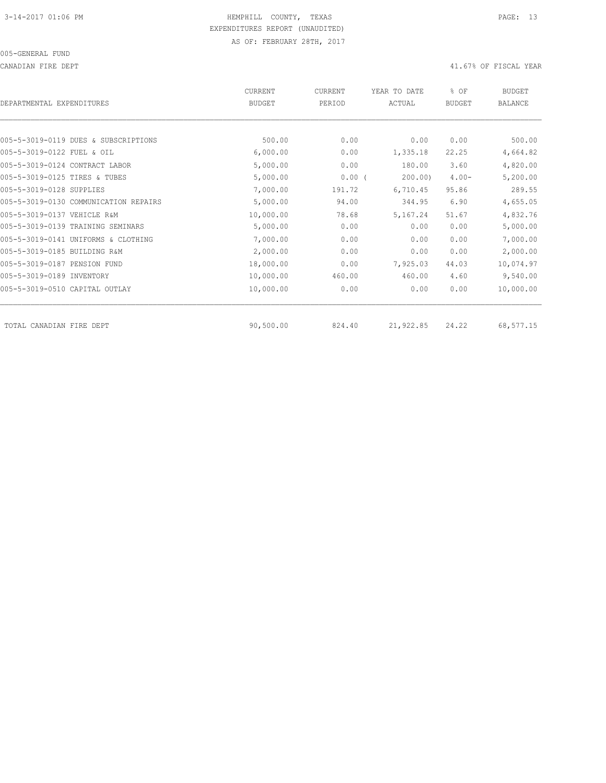CANADIAN FIRE DEPT 41.67% OF FISCAL YEAR

| DEPARTMENTAL EXPENDITURES             | <b>CURRENT</b><br><b>BUDGET</b> | CURRENT<br>PERIOD | YEAR TO DATE<br>ACTUAL | % OF<br><b>BUDGET</b> | <b>BUDGET</b><br>BALANCE |
|---------------------------------------|---------------------------------|-------------------|------------------------|-----------------------|--------------------------|
|                                       |                                 |                   |                        |                       |                          |
| 005-5-3019-0119 DUES & SUBSCRIPTIONS  | 500.00                          | 0.00              | 0.00                   | 0.00                  | 500.00                   |
| 005-5-3019-0122 FUEL & OIL            | 6,000.00                        | 0.00              | 1,335.18               | 22.25                 | 4,664.82                 |
| 005-5-3019-0124 CONTRACT LABOR        | 5,000.00                        | 0.00              | 180.00                 | 3.60                  | 4,820.00                 |
| 005-5-3019-0125 TIRES & TUBES         | 5,000.00                        | 0.00(             | 200.00                 | $4.00 -$              | 5,200.00                 |
| 005-5-3019-0128 SUPPLIES              | 7,000.00                        | 191.72            | 6,710.45               | 95.86                 | 289.55                   |
| 005-5-3019-0130 COMMUNICATION REPAIRS | 5,000.00                        | 94.00             | 344.95                 | 6.90                  | 4,655.05                 |
| 005-5-3019-0137 VEHICLE R&M           | 10,000.00                       | 78.68             | 5,167.24               | 51.67                 | 4,832.76                 |
| 005-5-3019-0139 TRAINING SEMINARS     | 5,000.00                        | 0.00              | 0.00                   | 0.00                  | 5,000.00                 |
| 005-5-3019-0141 UNIFORMS & CLOTHING   | 7,000.00                        | 0.00              | 0.00                   | 0.00                  | 7,000.00                 |
| 005-5-3019-0185 BUILDING R&M          | 2,000.00                        | 0.00              | 0.00                   | 0.00                  | 2,000.00                 |
| 005-5-3019-0187 PENSION FUND          | 18,000.00                       | 0.00              | 7,925.03               | 44.03                 | 10,074.97                |
| 005-5-3019-0189 INVENTORY             | 10,000.00                       | 460.00            | 460.00                 | 4.60                  | 9,540.00                 |
| 005-5-3019-0510 CAPITAL OUTLAY        | 10,000.00                       | 0.00              | 0.00                   | 0.00                  | 10,000.00                |
| TOTAL CANADIAN FIRE DEPT              | 90,500.00                       | 824.40            | 21,922.85              | 24.22                 | 68,577.15                |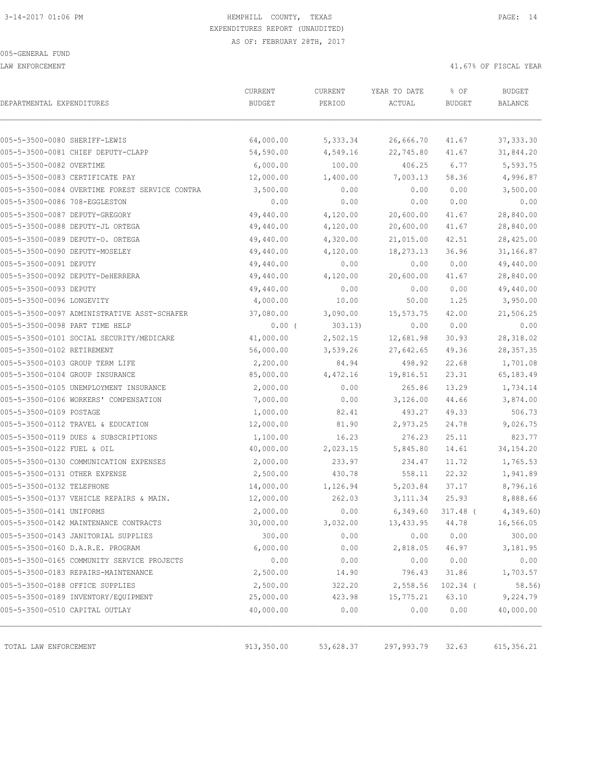LAW ENFORCEMENT 41.67% OF FISCAL YEAR

| DEPARTMENTAL EXPENDITURES                      | CURRENT<br><b>BUDGET</b> | CURRENT<br>PERIOD | YEAR TO DATE<br>ACTUAL | % OF<br><b>BUDGET</b> | <b>BUDGET</b><br>BALANCE |
|------------------------------------------------|--------------------------|-------------------|------------------------|-----------------------|--------------------------|
|                                                |                          |                   |                        |                       |                          |
| 005-5-3500-0080 SHERIFF-LEWIS                  | 64,000.00                | 5,333.34          | 26,666.70              | 41.67                 | 37, 333.30               |
| 005-5-3500-0081 CHIEF DEPUTY-CLAPP             | 54,590.00                | 4,549.16          | 22,745.80              | 41.67                 | 31,844.20                |
| 005-5-3500-0082 OVERTIME                       | 6,000.00                 | 100.00            | 406.25                 | 6.77                  | 5,593.75                 |
| 005-5-3500-0083 CERTIFICATE PAY                | 12,000.00                | 1,400.00          | 7,003.13               | 58.36                 | 4,996.87                 |
| 005-5-3500-0084 OVERTIME FOREST SERVICE CONTRA | 3,500.00                 | 0.00              | 0.00                   | 0.00                  | 3,500.00                 |
| 005-5-3500-0086 708-EGGLESTON                  | 0.00                     | 0.00              | 0.00                   | 0.00                  | 0.00                     |
| 005-5-3500-0087 DEPUTY-GREGORY                 | 49,440.00                | 4,120.00          | 20,600.00              | 41.67                 | 28,840.00                |
| 005-5-3500-0088 DEPUTY-JL ORTEGA               | 49,440.00                | 4,120.00          | 20,600.00              | 41.67                 | 28,840.00                |
| 005-5-3500-0089 DEPUTY-O. ORTEGA               | 49,440.00                | 4,320.00          | 21,015.00              | 42.51                 | 28,425.00                |
| 005-5-3500-0090 DEPUTY-MOSELEY                 | 49,440.00                | 4,120.00          | 18,273.13              | 36.96                 | 31,166.87                |
| 005-5-3500-0091 DEPUTY                         | 49,440.00                | 0.00              | 0.00                   | 0.00                  | 49,440.00                |
| 005-5-3500-0092 DEPUTY-DeHERRERA               | 49,440.00                | 4,120.00          | 20,600.00              | 41.67                 | 28,840.00                |
| 005-5-3500-0093 DEPUTY                         | 49,440.00                | 0.00              | 0.00                   | 0.00                  | 49,440.00                |
| 005-5-3500-0096 LONGEVITY                      | 4,000.00                 | 10.00             | 50.00                  | 1.25                  | 3,950.00                 |
| 005-5-3500-0097 ADMINISTRATIVE ASST-SCHAFER    | 37,080.00                | 3,090.00          | 15,573.75              | 42.00                 | 21,506.25                |
| 005-5-3500-0098 PART TIME HELP                 | $0.00$ (                 | 303.13)           | 0.00                   | 0.00                  | 0.00                     |
| 005-5-3500-0101 SOCIAL SECURITY/MEDICARE       | 41,000.00                | 2,502.15          | 12,681.98              | 30.93                 | 28,318.02                |
| 005-5-3500-0102 RETIREMENT                     | 56,000.00                | 3,539.26          | 27,642.65              | 49.36                 | 28, 357.35               |
| 005-5-3500-0103 GROUP TERM LIFE                | 2,200.00                 | 84.94             | 498.92                 | 22.68                 | 1,701.08                 |
| 005-5-3500-0104 GROUP INSURANCE                | 85,000.00                | 4,472.16          | 19,816.51              | 23.31                 | 65,183.49                |
| 005-5-3500-0105 UNEMPLOYMENT INSURANCE         | 2,000.00                 | 0.00              | 265.86                 | 13.29                 | 1,734.14                 |
| 005-5-3500-0106 WORKERS' COMPENSATION          | 7,000.00                 | 0.00              | 3,126.00               | 44.66                 | 3,874.00                 |
| 005-5-3500-0109 POSTAGE                        | 1,000.00                 | 82.41             | 493.27                 | 49.33                 | 506.73                   |
| 005-5-3500-0112 TRAVEL & EDUCATION             | 12,000.00                | 81.90             | 2,973.25               | 24.78                 | 9,026.75                 |
| 005-5-3500-0119 DUES & SUBSCRIPTIONS           | 1,100.00                 | 16.23             | 276.23                 | 25.11                 | 823.77                   |
| 005-5-3500-0122 FUEL & OIL                     | 40,000.00                | 2,023.15          | 5,845.80               | 14.61                 | 34, 154.20               |
| 005-5-3500-0130 COMMUNICATION EXPENSES         | 2,000.00                 | 233.97            | 234.47                 | 11.72                 | 1,765.53                 |
| 005-5-3500-0131 OTHER EXPENSE                  | 2,500.00                 | 430.78            | 558.11                 | 22.32                 | 1,941.89                 |
| 005-5-3500-0132 TELEPHONE                      | 14,000.00                | 1,126.94          | 5,203.84               | 37.17                 | 8,796.16                 |
| 005-5-3500-0137 VEHICLE REPAIRS & MAIN.        | 12,000.00                | 262.03            | 3, 111.34              | 25.93                 | 8,888.66                 |
| 005-5-3500-0141 UNIFORMS                       | 2,000.00                 | 0.00              | 6,349.60               | $317.48$ (            | 4,349.60                 |
| 005-5-3500-0142 MAINTENANCE CONTRACTS          | 30,000.00                | 3,032.00          | 13,433.95              | 44.78                 | 16,566.05                |
| 005-5-3500-0143 JANITORIAL SUPPLIES            | 300.00                   | 0.00              | 0.00                   | 0.00                  | 300.00                   |
| 005-5-3500-0160 D.A.R.E. PROGRAM               | 6,000.00                 | 0.00              | 2,818.05               | 46.97                 | 3,181.95                 |
| 005-5-3500-0165 COMMUNITY SERVICE PROJECTS     | 0.00                     | 0.00              | 0.00                   | 0.00                  | 0.00                     |
| 005-5-3500-0183 REPAIRS-MAINTENANCE            | 2,500.00                 | 14.90             | 796.43                 | 31.86                 | 1,703.57                 |
| 005-5-3500-0188 OFFICE SUPPLIES                | 2,500.00                 | 322.20            | 2,558.56               | $102.34$ (            | 58.56)                   |
| 005-5-3500-0189 INVENTORY/EQUIPMENT            | 25,000.00                | 423.98            | 15,775.21              | 63.10                 | 9,224.79                 |
| 005-5-3500-0510 CAPITAL OUTLAY                 | 40,000.00                | 0.00              | 0.00                   | 0.00                  | 40,000.00                |
|                                                |                          |                   |                        |                       |                          |
| TOTAL LAW ENFORCEMENT                          | 913,350.00               | 53,628.37         | 297,993.79             | 32.63                 | 615, 356.21              |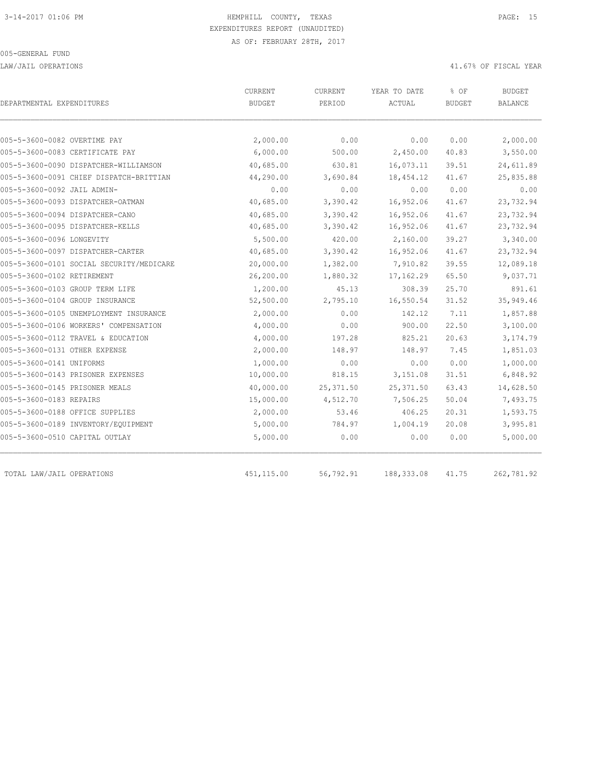LAW/JAIL OPERATIONS 41.67% OF FISCAL YEAR

| DEPARTMENTAL EXPENDITURES                | CURRENT<br><b>BUDGET</b> | CURRENT<br>PERIOD | YEAR TO DATE<br>ACTUAL | % OF<br><b>BUDGET</b> | <b>BUDGET</b><br><b>BALANCE</b> |
|------------------------------------------|--------------------------|-------------------|------------------------|-----------------------|---------------------------------|
|                                          |                          |                   |                        |                       |                                 |
| 005-5-3600-0082 OVERTIME PAY             | 2,000.00                 | 0.00              | 0.00                   | 0.00                  | 2,000.00                        |
| 005-5-3600-0083 CERTIFICATE PAY          | 6,000.00                 | 500.00            | 2,450.00               | 40.83                 | 3,550.00                        |
| 005-5-3600-0090 DISPATCHER-WILLIAMSON    | 40,685.00                | 630.81            | 16,073.11              | 39.51                 | 24,611.89                       |
| 005-5-3600-0091 CHIEF DISPATCH-BRITTIAN  | 44,290.00                | 3,690.84          | 18,454.12              | 41.67                 | 25,835.88                       |
| 005-5-3600-0092 JAIL ADMIN-              | 0.00                     | 0.00              | 0.00                   | 0.00                  | 0.00                            |
| 005-5-3600-0093 DISPATCHER-OATMAN        | 40,685.00                | 3,390.42          | 16,952.06              | 41.67                 | 23,732.94                       |
| 005-5-3600-0094 DISPATCHER-CANO          | 40,685.00                | 3,390.42          | 16,952.06              | 41.67                 | 23,732.94                       |
| 005-5-3600-0095 DISPATCHER-KELLS         | 40,685.00                | 3,390.42          | 16,952.06              | 41.67                 | 23,732.94                       |
| 005-5-3600-0096 LONGEVITY                | 5,500.00                 | 420.00            | 2,160.00               | 39.27                 | 3,340.00                        |
| 005-5-3600-0097 DISPATCHER-CARTER        | 40,685.00                | 3,390.42          | 16,952.06              | 41.67                 | 23,732.94                       |
| 005-5-3600-0101 SOCIAL SECURITY/MEDICARE | 20,000.00                | 1,382.00          | 7,910.82               | 39.55                 | 12,089.18                       |
| 005-5-3600-0102 RETIREMENT               | 26,200.00                | 1,880.32          | 17, 162.29             | 65.50                 | 9,037.71                        |
| 005-5-3600-0103 GROUP TERM LIFE          | 1,200.00                 | 45.13             | 308.39                 | 25.70                 | 891.61                          |
| 005-5-3600-0104 GROUP INSURANCE          | 52,500.00                | 2,795.10          | 16,550.54              | 31.52                 | 35,949.46                       |
| 005-5-3600-0105 UNEMPLOYMENT INSURANCE   | 2,000.00                 | 0.00              | 142.12                 | 7.11                  | 1,857.88                        |
| 005-5-3600-0106 WORKERS' COMPENSATION    | 4,000.00                 | 0.00              | 900.00                 | 22.50                 | 3,100.00                        |
| 005-5-3600-0112 TRAVEL & EDUCATION       | 4,000.00                 | 197.28            | 825.21                 | 20.63                 | 3,174.79                        |
| 005-5-3600-0131 OTHER EXPENSE            | 2,000.00                 | 148.97            | 148.97                 | 7.45                  | 1,851.03                        |
| 005-5-3600-0141 UNIFORMS                 | 1,000.00                 | 0.00              | 0.00                   | 0.00                  | 1,000.00                        |
| 005-5-3600-0143 PRISONER EXPENSES        | 10,000.00                | 818.15            | 3,151.08               | 31.51                 | 6,848.92                        |
| 005-5-3600-0145 PRISONER MEALS           | 40,000.00                | 25, 371.50        | 25, 371.50             | 63.43                 | 14,628.50                       |
| 005-5-3600-0183 REPAIRS                  | 15,000.00                | 4,512.70          | 7,506.25               | 50.04                 | 7,493.75                        |
| 005-5-3600-0188 OFFICE SUPPLIES          | 2,000.00                 | 53.46             | 406.25                 | 20.31                 | 1,593.75                        |
| 005-5-3600-0189 INVENTORY/EQUIPMENT      | 5,000.00                 | 784.97            | 1,004.19               | 20.08                 | 3,995.81                        |
| 005-5-3600-0510 CAPITAL OUTLAY           | 5,000.00                 | 0.00              | 0.00                   | 0.00                  | 5,000.00                        |
| TOTAL LAW/JAIL OPERATIONS                | 451, 115.00              | 56,792.91         | 188, 333.08            | 41.75                 | 262,781.92                      |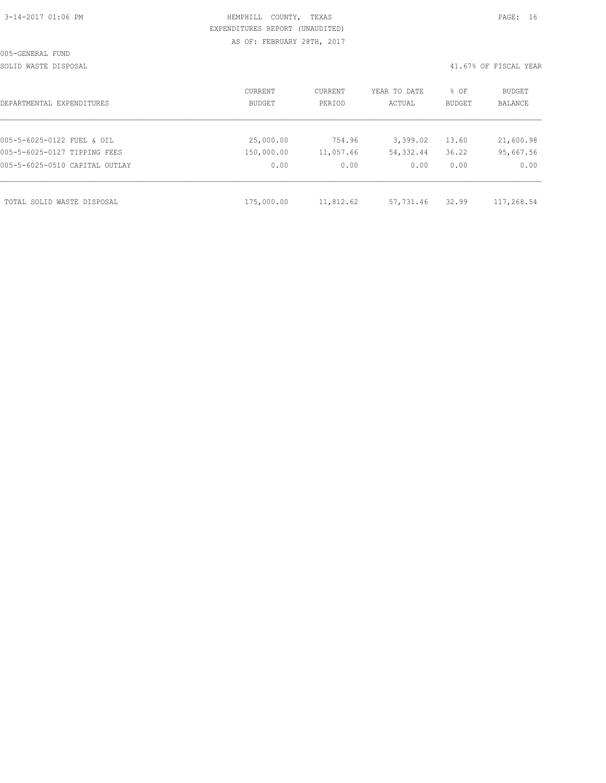| 3-14-2017 01:06 PM |  |  |
|--------------------|--|--|

# HEMPHILL COUNTY, TEXAS **PAGE:** 16 EXPENDITURES REPORT (UNAUDITED) AS OF: FEBRUARY 28TH, 2017

SOLID WASTE DISPOSAL 41.67% OF FISCAL YEAR

| DEPARTMENTAL EXPENDITURES      | CURRENT<br>BUDGET | CURRENT<br>PERIOD | YEAR TO DATE<br>ACTUAL | % OF<br>BUDGET | BUDGET<br>BALANCE |
|--------------------------------|-------------------|-------------------|------------------------|----------------|-------------------|
|                                |                   |                   |                        |                |                   |
| 005-5-6025-0122 FUEL & OIL     | 25,000.00         | 754.96            | 3,399.02               | 13.60          | 21,600.98         |
| 005-5-6025-0127 TIPPING FEES   | 150,000.00        | 11,057.66         | 54,332.44              | 36.22          | 95,667.56         |
| 005-5-6025-0510 CAPITAL OUTLAY | 0.00              | 0.00              | 0.00                   | 0.00           | 0.00              |
| TOTAL SOLID WASTE DISPOSAL     | 175,000.00        | 11,812.62         | 57,731.46              | 32.99          | 117,268.54        |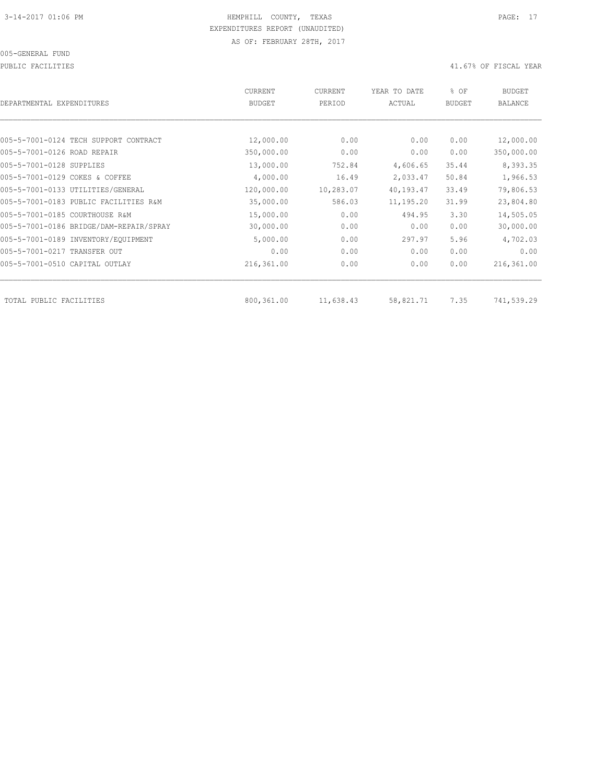PUBLIC FACILITIES 41.67% OF FISCAL YEAR

| DEPARTMENTAL EXPENDITURES               | <b>CURRENT</b><br><b>BUDGET</b> | CURRENT<br>PERIOD | YEAR TO DATE<br>ACTUAL | % OF<br><b>BUDGET</b> | <b>BUDGET</b><br><b>BALANCE</b> |
|-----------------------------------------|---------------------------------|-------------------|------------------------|-----------------------|---------------------------------|
|                                         |                                 |                   |                        |                       |                                 |
| 005-5-7001-0124 TECH SUPPORT CONTRACT   | 12,000.00                       | 0.00              | 0.00                   | 0.00                  | 12,000.00                       |
| 005-5-7001-0126 ROAD REPAIR             | 350,000.00                      | 0.00              | 0.00                   | 0.00                  | 350,000.00                      |
| 005-5-7001-0128 SUPPLIES                | 13,000.00                       | 752.84            | 4,606.65               | 35.44                 | 8,393.35                        |
| 005-5-7001-0129 COKES & COFFEE          | 4,000.00                        | 16.49             | 2,033.47               | 50.84                 | 1,966.53                        |
| 005-5-7001-0133 UTILITIES/GENERAL       | 120,000.00                      | 10,283.07         | 40,193.47              | 33.49                 | 79,806.53                       |
| 005-5-7001-0183 PUBLIC FACILITIES R&M   | 35,000.00                       | 586.03            | 11,195.20              | 31.99                 | 23,804.80                       |
| 005-5-7001-0185 COURTHOUSE R&M          | 15,000.00                       | 0.00              | 494.95                 | 3.30                  | 14,505.05                       |
| 005-5-7001-0186 BRIDGE/DAM-REPAIR/SPRAY | 30,000.00                       | 0.00              | 0.00                   | 0.00                  | 30,000.00                       |
| 005-5-7001-0189 INVENTORY/EQUIPMENT     | 5,000.00                        | 0.00              | 297.97                 | 5.96                  | 4,702.03                        |
| 005-5-7001-0217 TRANSFER OUT            | 0.00                            | 0.00              | 0.00                   | 0.00                  | 0.00                            |
| 005-5-7001-0510 CAPITAL OUTLAY          | 216,361.00                      | 0.00              | 0.00                   | 0.00                  | 216,361.00                      |
| TOTAL PUBLIC FACILITIES                 | 800,361.00                      | 11,638.43         | 58,821.71              | 7.35                  | 741,539.29                      |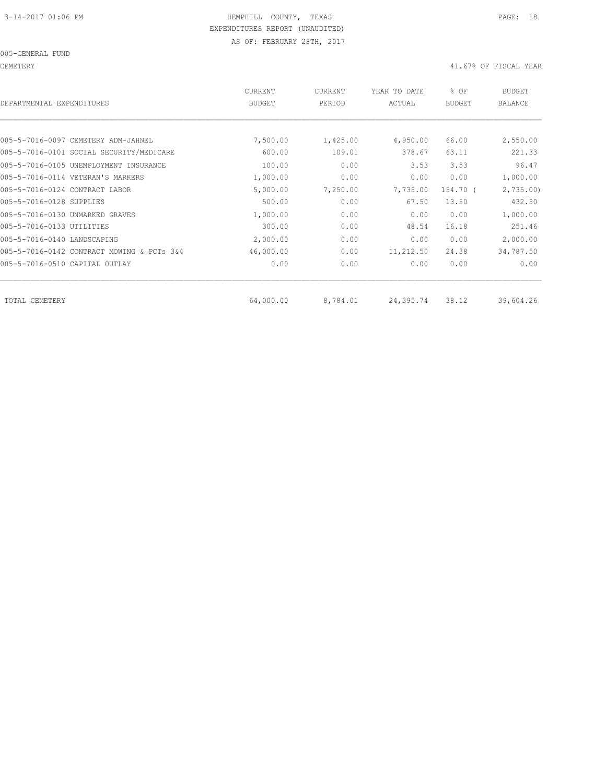CEMETERY 41.67% OF FISCAL YEAR

| <b>CURRENT</b><br><b>BUDGET</b> | CURRENT<br>PERIOD | YEAR TO DATE<br>ACTUAL | % OF<br><b>BUDGET</b> | BUDGET<br><b>BALANCE</b> |
|---------------------------------|-------------------|------------------------|-----------------------|--------------------------|
|                                 |                   |                        |                       |                          |
| 7,500.00                        | 1,425.00          | 4,950.00               | 66.00                 | 2,550.00                 |
| 600.00                          | 109.01            | 378.67                 | 63.11                 | 221.33                   |
| 100.00                          | 0.00              | 3.53                   | 3.53                  | 96.47                    |
| 1,000.00                        | 0.00              | 0.00                   | 0.00                  | 1,000.00                 |
| 5,000.00                        | 7,250.00          | 7,735.00               | 154.70 (              | 2,735.00                 |
| 500.00                          | 0.00              | 67.50                  | 13.50                 | 432.50                   |
| 1,000.00                        | 0.00              | 0.00                   | 0.00                  | 1,000.00                 |
| 300.00                          | 0.00              | 48.54                  | 16.18                 | 251.46                   |
| 2,000.00                        | 0.00              | 0.00                   | 0.00                  | 2,000.00                 |
| 46,000.00                       | 0.00              | 11,212.50              | 24.38                 | 34,787.50                |
| 0.00                            | 0.00              | 0.00                   | 0.00                  | 0.00                     |
|                                 |                   |                        |                       | 39,604.26                |
|                                 | 64,000.00         | 8,784.01               | 24,395.74             | 38.12                    |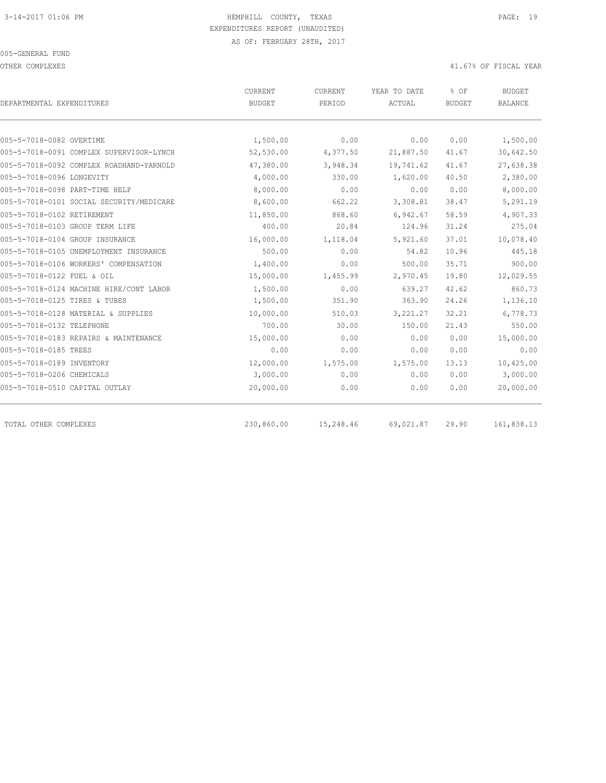OTHER COMPLEXES 41.67% OF FISCAL YEAR

| DEPARTMENTAL EXPENDITURES                | CURRENT<br><b>BUDGET</b> | <b>CURRENT</b><br>PERIOD | YEAR TO DATE<br>ACTUAL | % OF<br><b>BUDGET</b> | <b>BUDGET</b><br><b>BALANCE</b> |
|------------------------------------------|--------------------------|--------------------------|------------------------|-----------------------|---------------------------------|
|                                          |                          |                          |                        |                       |                                 |
| 005-5-7018-0082 OVERTIME                 | 1,500.00                 | 0.00                     | 0.00                   | 0.00                  | 1,500.00                        |
| 005-5-7018-0091 COMPLEX SUPERVISOR-LYNCH | 52,530.00                | 4,377.50                 | 21,887.50              | 41.67                 | 30,642.50                       |
| 005-5-7018-0092 COMPLEX ROADHAND-YARNOLD | 47,380.00                | 3,948.34                 | 19,741.62              | 41.67                 | 27,638.38                       |
| 005-5-7018-0096 LONGEVITY                | 4,000.00                 | 330.00                   | 1,620.00               | 40.50                 | 2,380.00                        |
| 005-5-7018-0098 PART-TIME HELP           | 8,000.00                 | 0.00                     | 0.00                   | 0.00                  | 8,000.00                        |
| 005-5-7018-0101 SOCIAL SECURITY/MEDICARE | 8,600.00                 | 662.22                   | 3,308.81               | 38.47                 | 5,291.19                        |
| 005-5-7018-0102 RETIREMENT               | 11,850.00                | 868.60                   | 6,942.67               | 58.59                 | 4,907.33                        |
| 005-5-7018-0103 GROUP TERM LIFE          | 400.00                   | 20.84                    | 124.96                 | 31.24                 | 275.04                          |
| 005-5-7018-0104 GROUP INSURANCE          | 16,000.00                | 1,118.04                 | 5,921.60               | 37.01                 | 10,078.40                       |
| 005-5-7018-0105 UNEMPLOYMENT INSURANCE   | 500.00                   | 0.00                     | 54.82                  | 10.96                 | 445.18                          |
| 005-5-7018-0106 WORKERS' COMPENSATION    | 1,400.00                 | 0.00                     | 500.00                 | 35.71                 | 900.00                          |
| 005-5-7018-0122 FUEL & OIL               | 15,000.00                | 1,455.99                 | 2,970.45               | 19.80                 | 12,029.55                       |
| 005-5-7018-0124 MACHINE HIRE/CONT LABOR  | 1,500.00                 | 0.00                     | 639.27                 | 42.62                 | 860.73                          |
| 005-5-7018-0125 TIRES & TUBES            | 1,500.00                 | 351.90                   | 363.90                 | 24.26                 | 1,136.10                        |
| 005-5-7018-0128 MATERIAL & SUPPLIES      | 10,000.00                | 510.03                   | 3,221.27               | 32.21                 | 6,778.73                        |
| 005-5-7018-0132 TELEPHONE                | 700.00                   | 30.00                    | 150.00                 | 21.43                 | 550.00                          |
| 005-5-7018-0183 REPAIRS & MAINTENANCE    | 15,000.00                | 0.00                     | 0.00                   | 0.00                  | 15,000.00                       |
| 005-5-7018-0185 TREES                    | 0.00                     | 0.00                     | 0.00                   | 0.00                  | 0.00                            |
| 005-5-7018-0189 INVENTORY                | 12,000.00                | 1,575.00                 | 1,575.00               | 13.13                 | 10,425.00                       |
| 005-5-7018-0206 CHEMICALS                | 3,000.00                 | 0.00                     | 0.00                   | 0.00                  | 3,000.00                        |
| 005-5-7018-0510 CAPITAL OUTLAY           | 20,000.00                | 0.00                     | 0.00                   | 0.00                  | 20,000.00                       |
| TOTAL OTHER COMPLEXES                    | 230,860.00               | 15,248.46                | 69,021.87              | 29.90                 | 161,838.13                      |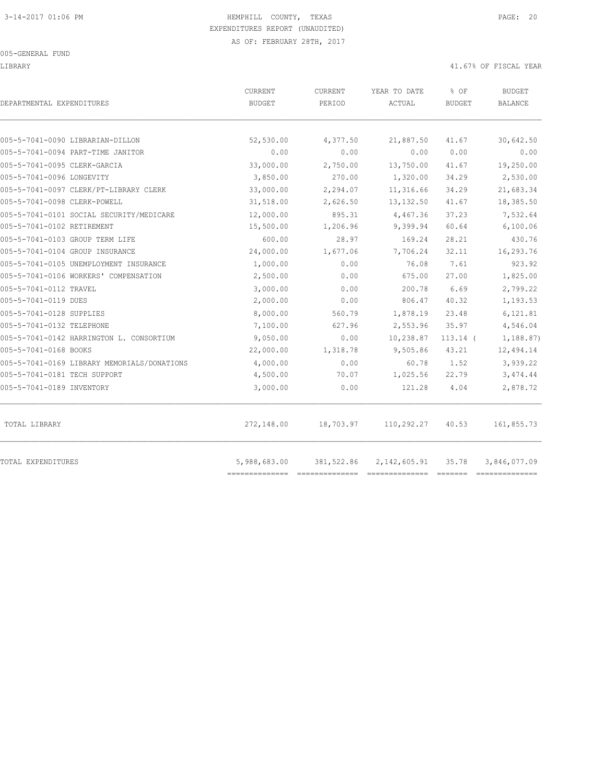#### 005-GENERAL FUND

#### LIBRARY 41.67% OF FISCAL YEAR

| DEPARTMENTAL EXPENDITURES                                                   | CURRENT<br><b>BUDGET</b> | CURRENT<br>PERIOD    | YEAR TO DATE<br>ACTUAL  | % OF<br><b>BUDGET</b> | <b>BUDGET</b><br><b>BALANCE</b> |
|-----------------------------------------------------------------------------|--------------------------|----------------------|-------------------------|-----------------------|---------------------------------|
|                                                                             |                          |                      |                         |                       |                                 |
| 005-5-7041-0090 LIBRARIAN-DILLON                                            | 52,530.00<br>0.00        | 4,377.50<br>0.00     | 21,887.50<br>0.00       | 41.67                 | 30,642.50                       |
| 005-5-7041-0094 PART-TIME JANITOR                                           |                          |                      |                         | 0.00                  | 0.00                            |
| 005-5-7041-0095 CLERK-GARCIA<br>005-5-7041-0096 LONGEVITY                   | 33,000.00<br>3,850.00    | 2,750.00<br>270.00   | 13,750.00<br>1,320.00   | 41.67<br>34.29        | 19,250.00<br>2,530.00           |
| 005-5-7041-0097 CLERK/PT-LIBRARY CLERK                                      | 33,000.00                |                      |                         |                       | 21,683.34                       |
| 005-5-7041-0098 CLERK-POWELL                                                | 31,518.00                | 2,294.07<br>2,626.50 | 11,316.66<br>13, 132.50 | 34.29<br>41.67        | 18,385.50                       |
| 005-5-7041-0101 SOCIAL SECURITY/MEDICARE                                    |                          | 895.31               |                         | 37.23                 | 7,532.64                        |
| 005-5-7041-0102 RETIREMENT                                                  | 12,000.00<br>15,500.00   | 1,206.96             | 4,467.36<br>9,399.94    | 60.64                 | 6,100.06                        |
| 005-5-7041-0103 GROUP TERM LIFE                                             | 600.00                   | 28.97                | 169.24                  | 28.21                 | 430.76                          |
| 005-5-7041-0104 GROUP INSURANCE                                             | 24,000.00                | 1,677.06             | 7,706.24                | 32.11                 | 16,293.76                       |
| 005-5-7041-0105 UNEMPLOYMENT INSURANCE                                      | 1,000.00                 | 0.00                 | 76.08                   | 7.61                  | 923.92                          |
| 005-5-7041-0106 WORKERS' COMPENSATION                                       | 2,500.00                 | 0.00                 | 675.00                  | 27.00                 | 1,825.00                        |
| 005-5-7041-0112 TRAVEL                                                      | 3,000.00                 | 0.00                 | 200.78                  | 6.69                  | 2,799.22                        |
| 005-5-7041-0119 DUES                                                        | 2,000.00                 | 0.00                 | 806.47                  | 40.32                 | 1,193.53                        |
| 005-5-7041-0128 SUPPLIES                                                    | 8,000.00                 | 560.79               | 1,878.19                | 23.48                 | 6,121.81                        |
| 005-5-7041-0132 TELEPHONE                                                   | 7,100.00                 | 627.96               | 2,553.96                | 35.97                 | 4,546.04                        |
| 005-5-7041-0142 HARRINGTON L. CONSORTIUM                                    | 9,050.00                 | 0.00                 | 10,238.87               | $113.14$ (            | 1,188.87)                       |
| 005-5-7041-0168 BOOKS                                                       | 22,000.00                | 1,318.78             | 9,505.86                | 43.21                 | 12,494.14                       |
|                                                                             | 4,000.00                 |                      |                         |                       | 3,939.22                        |
| 005-5-7041-0169 LIBRARY MEMORIALS/DONATIONS<br>005-5-7041-0181 TECH SUPPORT | 4,500.00                 | 0.00<br>70.07        | 60.78<br>1,025.56       | 1.52<br>22.79         | 3,474.44                        |
| 005-5-7041-0189 INVENTORY                                                   | 3,000.00                 | 0.00                 | 121.28                  | 4.04                  | 2,878.72                        |
| TOTAL LIBRARY                                                               | 272,148.00               | 18,703.97            | 110,292.27              | 40.53                 | 161,855.73                      |
| <b>TOTAL EXPENDITURES</b>                                                   | 5,988,683.00             | 381,522.86           | 2, 142, 605.91          | 35.78                 | 3,846,077.09                    |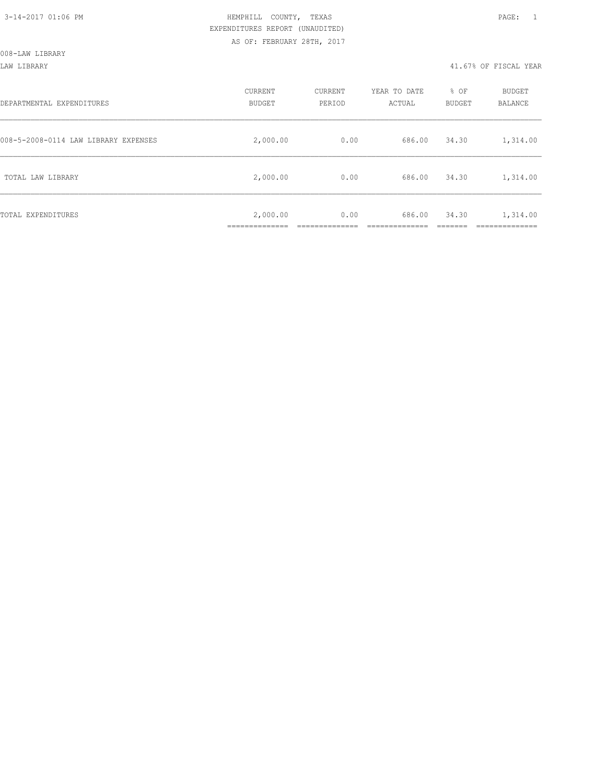LAW LIBRARY 41.67% OF FISCAL YEAR

| DEPARTMENTAL EXPENDITURES            | CURRENT<br><b>BUDGET</b>    | CURRENT<br>PERIOD | YEAR TO DATE<br>ACTUAL | % OF<br><b>BUDGET</b> | BUDGET<br>BALANCE |
|--------------------------------------|-----------------------------|-------------------|------------------------|-----------------------|-------------------|
| 008-5-2008-0114 LAW LIBRARY EXPENSES | 2,000.00                    | 0.00              | 686.00                 | 34.30                 | 1,314.00          |
| TOTAL LAW LIBRARY                    | 2,000.00                    | 0.00              | 686.00                 | 34.30                 | 1,314.00          |
| TOTAL EXPENDITURES                   | 2,000.00<br>--------------- | 0.00              | 686.00                 | 34.30                 | 1,314.00          |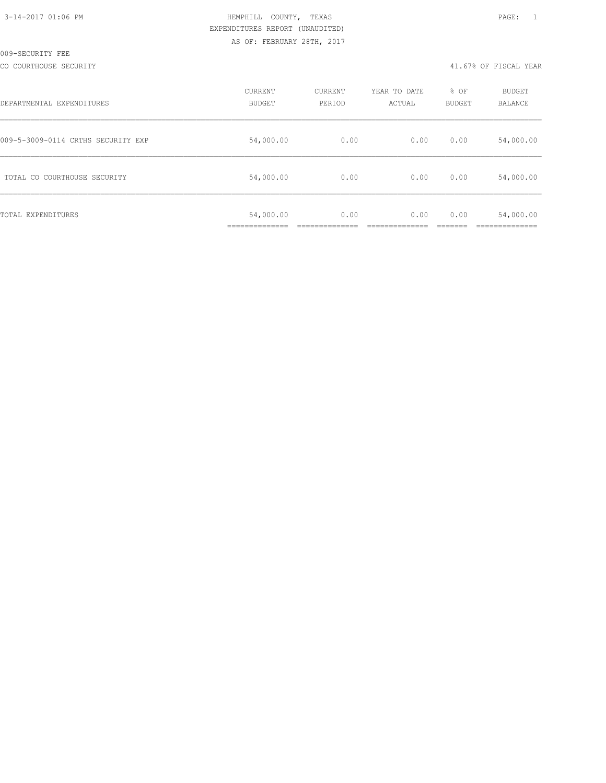| 3-14-2017 01:06 PM |  |
|--------------------|--|
|                    |  |

#### CO COURTHOUSE SECURITY 41.67% OF FISCAL YEAR

| DEPARTMENTAL EXPENDITURES          | CURRENT<br><b>BUDGET</b>                   | CURRENT<br>PERIOD | YEAR TO DATE<br>ACTUAL | % OF<br>BUDGET | <b>BUDGET</b><br>BALANCE |
|------------------------------------|--------------------------------------------|-------------------|------------------------|----------------|--------------------------|
| 009-5-3009-0114 CRTHS SECURITY EXP | 54,000.00                                  | 0.00              | 0.00                   | 0.00           | 54,000.00                |
| TOTAL CO COURTHOUSE SECURITY       | 54,000.00                                  | 0.00              | 0.00                   | 0.00           | 54,000.00                |
| TOTAL EXPENDITURES                 | 54,000.00<br>. _ _ _ _ _ _ _ _ _ _ _ _ _ _ | 0.00              | 0.00                   | 0.00           | 54,000.00                |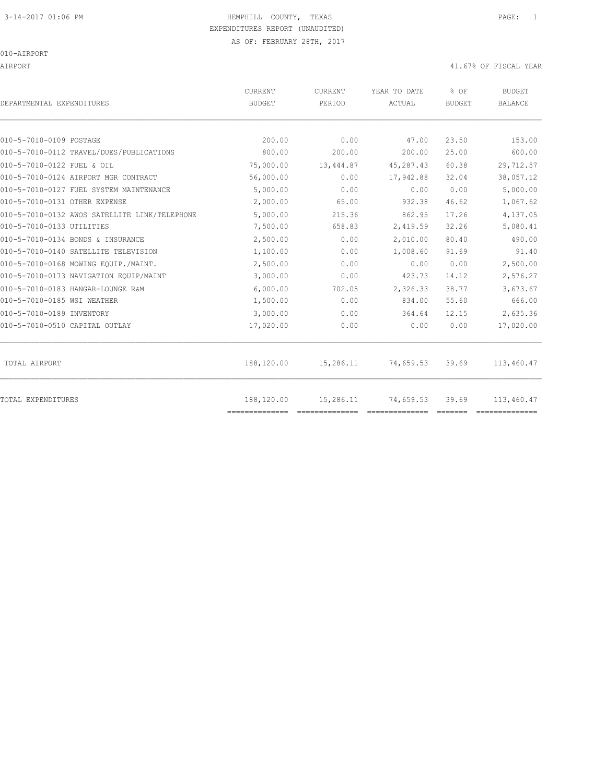# 3-14-2017 01:06 PM HEMPHILL COUNTY, TEXAS PAGE: 1 EXPENDITURES REPORT (UNAUDITED)

AIRPORT 41.67% OF FISCAL YEAR

| DEPARTMENTAL EXPENDITURES                     | <b>CURRENT</b><br><b>BUDGET</b> | CURRENT<br>PERIOD | YEAR TO DATE<br>ACTUAL | % OF<br><b>BUDGET</b> | <b>BUDGET</b><br><b>BALANCE</b> |
|-----------------------------------------------|---------------------------------|-------------------|------------------------|-----------------------|---------------------------------|
|                                               |                                 |                   |                        |                       |                                 |
| 010-5-7010-0109 POSTAGE                       | 200.00                          | 0.00              | 47.00                  | 23.50                 | 153.00                          |
| 010-5-7010-0112 TRAVEL/DUES/PUBLICATIONS      | 800.00                          | 200.00            | 200.00                 | 25.00                 | 600.00                          |
| 010-5-7010-0122 FUEL & OIL                    | 75,000.00                       | 13,444.87         | 45,287.43              | 60.38                 | 29,712.57                       |
| 010-5-7010-0124 AIRPORT MGR CONTRACT          | 56,000.00                       | 0.00              | 17,942.88              | 32.04                 | 38,057.12                       |
| 010-5-7010-0127 FUEL SYSTEM MAINTENANCE       | 5,000.00                        | 0.00              | 0.00                   | 0.00                  | 5,000.00                        |
| 010-5-7010-0131 OTHER EXPENSE                 | 2,000.00                        | 65.00             | 932.38                 | 46.62                 | 1,067.62                        |
| 010-5-7010-0132 AWOS SATELLITE LINK/TELEPHONE | 5,000.00                        | 215.36            | 862.95                 | 17.26                 | 4,137.05                        |
| 010-5-7010-0133 UTILITIES                     | 7,500.00                        | 658.83            | 2,419.59               | 32.26                 | 5,080.41                        |
| 010-5-7010-0134 BONDS & INSURANCE             | 2,500.00                        | 0.00              | 2,010.00               | 80.40                 | 490.00                          |
| 010-5-7010-0140 SATELLITE TELEVISION          | 1,100.00                        | 0.00              | 1,008.60               | 91.69                 | 91.40                           |
| 010-5-7010-0168 MOWING EOUIP./MAINT.          | 2,500.00                        | 0.00              | 0.00                   | 0.00                  | 2,500.00                        |
| 010-5-7010-0173 NAVIGATION EOUIP/MAINT        | 3,000.00                        | 0.00              | 423.73                 | 14.12                 | 2,576.27                        |
| 010-5-7010-0183 HANGAR-LOUNGE R&M             | 6,000.00                        | 702.05            | 2,326.33               | 38.77                 | 3,673.67                        |
| 010-5-7010-0185 WSI WEATHER                   | 1,500.00                        | 0.00              | 834.00                 | 55.60                 | 666.00                          |
| 010-5-7010-0189 INVENTORY                     | 3,000.00                        | 0.00              | 364.64                 | 12.15                 | 2,635.36                        |
| 010-5-7010-0510 CAPITAL OUTLAY                | 17,020.00                       | 0.00              | 0.00                   | 0.00                  | 17,020.00                       |
| TOTAL AIRPORT                                 | 188,120.00                      | 15,286.11         | 74,659.53              | 39.69                 | 113,460.47                      |
| TOTAL EXPENDITURES                            | 188,120.00<br>==============    | 15,286.11         | 74,659.53              | 39.69                 | 113,460.47                      |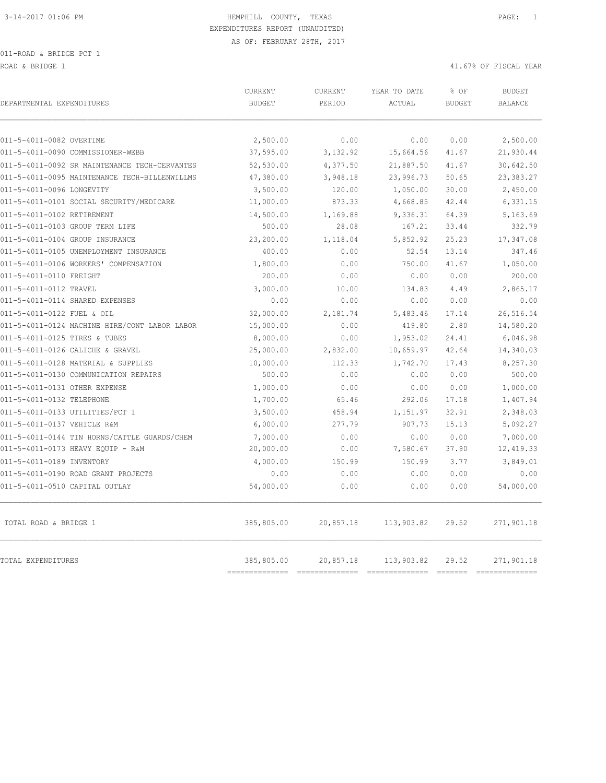ROAD & BRIDGE 1 41.67% OF FISCAL YEAR (1999) AND HERE IS A 41.67% OF FISCAL YEAR (1999) AND HERE IS A 41.67% OF FISCAL YEAR

| DEPARTMENTAL EXPENDITURES                     | CURRENT<br><b>BUDGET</b>  | CURRENT<br>PERIOD | YEAR TO DATE<br>ACTUAL | % OF<br><b>BUDGET</b> | <b>BUDGET</b><br><b>BALANCE</b> |
|-----------------------------------------------|---------------------------|-------------------|------------------------|-----------------------|---------------------------------|
| 011-5-4011-0082 OVERTIME                      | 2,500.00                  | 0.00              | 0.00                   | 0.00                  | 2,500.00                        |
| 011-5-4011-0090 COMMISSIONER-WEBB             | 37,595.00                 | 3,132.92          | 15,664.56              | 41.67                 | 21,930.44                       |
| 011-5-4011-0092 SR MAINTENANCE TECH-CERVANTES | 52,530.00                 | 4,377.50          | 21,887.50              | 41.67                 | 30,642.50                       |
| 011-5-4011-0095 MAINTENANCE TECH-BILLENWILLMS | 47,380.00                 | 3,948.18          | 23,996.73              | 50.65                 | 23,383.27                       |
| 011-5-4011-0096 LONGEVITY                     | 3,500.00                  | 120.00            | 1,050.00               | 30.00                 | 2,450.00                        |
| 011-5-4011-0101 SOCIAL SECURITY/MEDICARE      | 11,000.00                 | 873.33            | 4,668.85               | 42.44                 | 6,331.15                        |
| 011-5-4011-0102 RETIREMENT                    | 14,500.00                 | 1,169.88          | 9,336.31               | 64.39                 | 5,163.69                        |
| 011-5-4011-0103 GROUP TERM LIFE               | 500.00                    | 28.08             | 167.21                 | 33.44                 | 332.79                          |
| 011-5-4011-0104 GROUP INSURANCE               | 23,200.00                 | 1,118.04          | 5,852.92               | 25.23                 | 17,347.08                       |
| 011-5-4011-0105 UNEMPLOYMENT INSURANCE        | 400.00                    | 0.00              | 52.54                  | 13.14                 | 347.46                          |
| 011-5-4011-0106 WORKERS' COMPENSATION         | 1,800.00                  | 0.00              | 750.00                 | 41.67                 | 1,050.00                        |
| 011-5-4011-0110 FREIGHT                       | 200.00                    | 0.00              | 0.00                   | 0.00                  | 200.00                          |
| 011-5-4011-0112 TRAVEL                        | 3,000.00                  | 10.00             | 134.83                 | 4.49                  | 2,865.17                        |
| 011-5-4011-0114 SHARED EXPENSES               | 0.00                      | 0.00              | 0.00                   | 0.00                  | 0.00                            |
| 011-5-4011-0122 FUEL & OIL                    | 32,000.00                 | 2,181.74          | 5,483.46               | 17.14                 | 26,516.54                       |
| 011-5-4011-0124 MACHINE HIRE/CONT LABOR LABOR | 15,000.00                 | 0.00              | 419.80                 | 2.80                  | 14,580.20                       |
| 011-5-4011-0125 TIRES & TUBES                 | 8,000.00                  | 0.00              | 1,953.02               | 24.41                 | 6,046.98                        |
| 011-5-4011-0126 CALICHE & GRAVEL              | 25,000.00                 | 2,832.00          | 10,659.97              | 42.64                 | 14,340.03                       |
| 011-5-4011-0128 MATERIAL & SUPPLIES           | 10,000.00                 | 112.33            | 1,742.70               | 17.43                 | 8,257.30                        |
| 011-5-4011-0130 COMMUNICATION REPAIRS         | 500.00                    | 0.00              | 0.00                   | 0.00                  | 500.00                          |
| 011-5-4011-0131 OTHER EXPENSE                 | 1,000.00                  | 0.00              | 0.00                   | 0.00                  | 1,000.00                        |
| 011-5-4011-0132 TELEPHONE                     | 1,700.00                  | 65.46             | 292.06                 | 17.18                 | 1,407.94                        |
| 011-5-4011-0133 UTILITIES/PCT 1               | 3,500.00                  | 458.94            | 1,151.97               | 32.91                 | 2,348.03                        |
| 011-5-4011-0137 VEHICLE R&M                   | 6,000.00                  | 277.79            | 907.73                 | 15.13                 | 5,092.27                        |
| 011-5-4011-0144 TIN HORNS/CATTLE GUARDS/CHEM  | 7,000.00                  | 0.00              | 0.00                   | 0.00                  | 7,000.00                        |
| 011-5-4011-0173 HEAVY EQUIP - R&M             | 20,000.00                 | 0.00              | 7,580.67               | 37.90                 | 12, 419.33                      |
| 011-5-4011-0189 INVENTORY                     | 4,000.00                  | 150.99            | 150.99                 | 3.77                  | 3,849.01                        |
| 011-5-4011-0190 ROAD GRANT PROJECTS           | 0.00                      | 0.00              | 0.00                   | 0.00                  | 0.00                            |
| 011-5-4011-0510 CAPITAL OUTLAY                | 54,000.00                 | 0.00              | 0.00                   | 0.00                  | 54,000.00                       |
| TOTAL ROAD & BRIDGE 1                         | 385,805.00                | 20,857.18         | 113,903.82             | 29.52                 | 271,901.18                      |
| TOTAL EXPENDITURES                            | 385,805.00<br>----------- | 20,857.18         | 113,903.82             | 29.52<br>-------      | 271,901.18                      |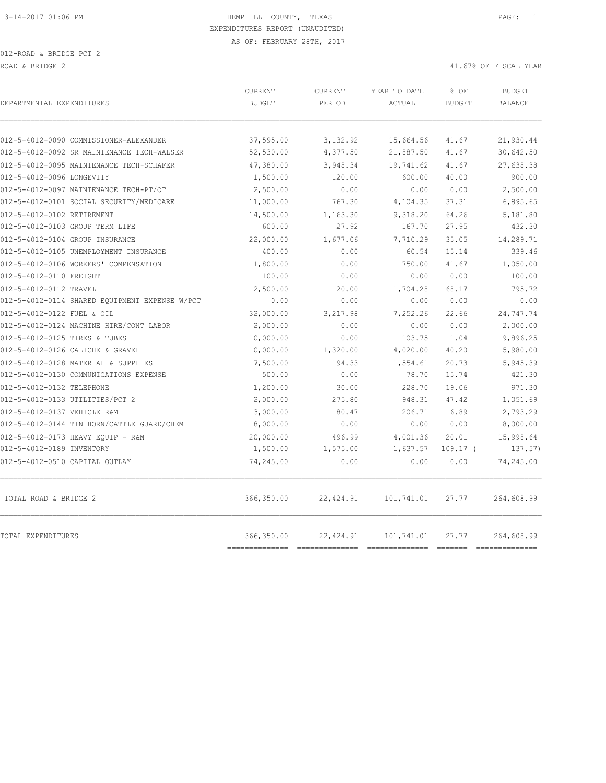| DEPARTMENTAL EXPENDITURES                      | <b>CURRENT</b><br><b>BUDGET</b> | <b>CURRENT</b><br>PERIOD | YEAR TO DATE<br>ACTUAL | % OF<br><b>BUDGET</b>    | <b>BUDGET</b><br><b>BALANCE</b> |
|------------------------------------------------|---------------------------------|--------------------------|------------------------|--------------------------|---------------------------------|
| 012-5-4012-0090 COMMISSIONER-ALEXANDER         | 37,595.00                       | 3,132.92                 | 15,664.56              | 41.67                    | 21,930.44                       |
| 012-5-4012-0092 SR MAINTENANCE TECH-WALSER     | 52,530.00                       | 4,377.50                 | 21,887.50              | 41.67                    | 30,642.50                       |
| 012-5-4012-0095 MAINTENANCE TECH-SCHAFER       | 47,380.00                       | 3,948.34                 | 19,741.62              | 41.67                    | 27,638.38                       |
| 012-5-4012-0096 LONGEVITY                      | 1,500.00                        | 120.00                   | 600.00                 | 40.00                    | 900.00                          |
| 012-5-4012-0097 MAINTENANCE TECH-PT/OT         | 2,500.00                        | 0.00                     | 0.00                   | 0.00                     | 2,500.00                        |
| 012-5-4012-0101 SOCIAL SECURITY/MEDICARE       | 11,000.00                       | 767.30                   | 4,104.35               | 37.31                    | 6,895.65                        |
| 012-5-4012-0102 RETIREMENT                     | 14,500.00                       | 1,163.30                 | 9,318.20               | 64.26                    | 5,181.80                        |
| 012-5-4012-0103 GROUP TERM LIFE                | 600.00                          | 27.92                    | 167.70                 | 27.95                    | 432.30                          |
| 012-5-4012-0104 GROUP INSURANCE                | 22,000.00                       | 1,677.06                 | 7,710.29               | 35.05                    | 14,289.71                       |
| 012-5-4012-0105 UNEMPLOYMENT INSURANCE         | 400.00                          | 0.00                     | 60.54                  | 15.14                    | 339.46                          |
| 012-5-4012-0106 WORKERS' COMPENSATION          | 1,800.00                        | 0.00                     | 750.00                 | 41.67                    | 1,050.00                        |
| 012-5-4012-0110 FREIGHT                        | 100.00                          | 0.00                     | 0.00                   | 0.00                     | 100.00                          |
| 012-5-4012-0112 TRAVEL                         | 2,500.00                        | 20.00                    | 1,704.28               | 68.17                    | 795.72                          |
| 012-5-4012-0114 SHARED EOUIPMENT EXPENSE W/PCT | 0.00                            | 0.00                     | 0.00                   | 0.00                     | 0.00                            |
| 012-5-4012-0122 FUEL & OIL                     | 32,000.00                       | 3,217.98                 | 7,252.26               | 22.66                    | 24,747.74                       |
| 012-5-4012-0124 MACHINE HIRE/CONT LABOR        | 2,000.00                        | 0.00                     | 0.00                   | 0.00                     | 2,000.00                        |
| 012-5-4012-0125 TIRES & TUBES                  | 10,000.00                       | 0.00                     | 103.75                 | 1.04                     | 9,896.25                        |
| 012-5-4012-0126 CALICHE & GRAVEL               | 10,000.00                       | 1,320.00                 | 4,020.00               | 40.20                    | 5,980.00                        |
| 012-5-4012-0128 MATERIAL & SUPPLIES            | 7,500.00                        | 194.33                   | 1,554.61               | 20.73                    | 5,945.39                        |
| 012-5-4012-0130 COMMUNICATIONS EXPENSE         | 500.00                          | 0.00                     | 78.70                  | 15.74                    | 421.30                          |
| 012-5-4012-0132 TELEPHONE                      | 1,200.00                        | 30.00                    | 228.70                 | 19.06                    | 971.30                          |
| 012-5-4012-0133 UTILITIES/PCT 2                | 2,000.00                        | 275.80                   | 948.31                 | 47.42                    | 1,051.69                        |
| 012-5-4012-0137 VEHICLE R&M                    | 3,000.00                        | 80.47                    | 206.71                 | 6.89                     | 2,793.29                        |
| 012-5-4012-0144 TIN HORN/CATTLE GUARD/CHEM     | 8,000.00                        | 0.00                     | 0.00                   | 0.00                     | 8,000.00                        |
| 012-5-4012-0173 HEAVY EQUIP - R&M              | 20,000.00                       | 496.99                   | 4,001.36               | 20.01                    | 15,998.64                       |
| 012-5-4012-0189 INVENTORY                      | 1,500.00                        | 1,575.00                 | 1,637.57               | $109.17$ (               | 137.57)                         |
| 012-5-4012-0510 CAPITAL OUTLAY                 | 74,245.00                       | 0.00                     | 0.00                   | 0.00                     | 74,245.00                       |
| TOTAL ROAD & BRIDGE 2                          | 366,350.00                      | 22, 424.91               | 101,741.01             | 27.77                    | 264,608.99                      |
| TOTAL EXPENDITURES                             | 366,350.00<br>==========        | 22, 424.91               | 101,741.01             | 27.77<br><b>CONSIDER</b> | 264,608.99<br>----------        |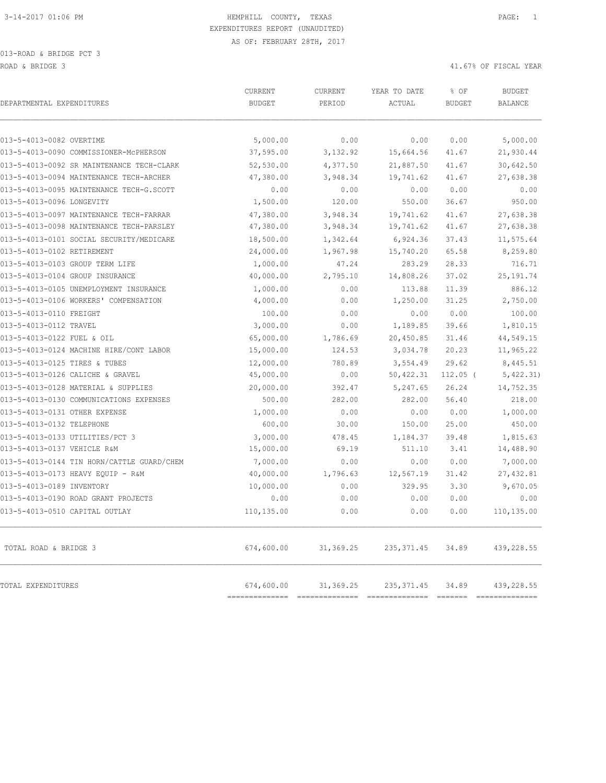013-ROAD & BRIDGE PCT 3 ROAD & BRIDGE 3 41.67% OF FISCAL YEAR (1999) AND ROAD & ALL ASSESSED A 41.67% OF FISCAL YEAR

| DEPARTMENTAL EXPENDITURES                  | CURRENT<br><b>BUDGET</b>     | <b>CURRENT</b><br>PERIOD | YEAR TO DATE<br>ACTUAL | % OF<br><b>BUDGET</b> | <b>BUDGET</b><br><b>BALANCE</b> |
|--------------------------------------------|------------------------------|--------------------------|------------------------|-----------------------|---------------------------------|
| 013-5-4013-0082 OVERTIME                   | 5,000.00                     | 0.00                     |                        |                       |                                 |
| 013-5-4013-0090 COMMISSIONER-MCPHERSON     | 37,595.00                    | 3,132.92                 | 0.00<br>15,664.56      | 0.00<br>41.67         | 5,000.00<br>21,930.44           |
| 013-5-4013-0092 SR MAINTENANCE TECH-CLARK  | 52,530.00                    | 4,377.50                 | 21,887.50              | 41.67                 | 30,642.50                       |
| 013-5-4013-0094 MAINTENANCE TECH-ARCHER    | 47,380.00                    | 3,948.34                 | 19,741.62              | 41.67                 | 27,638.38                       |
| 013-5-4013-0095 MAINTENANCE TECH-G.SCOTT   | 0.00                         | 0.00                     | 0.00                   | 0.00                  | 0.00                            |
| 013-5-4013-0096 LONGEVITY                  | 1,500.00                     | 120.00                   | 550.00                 | 36.67                 | 950.00                          |
| 013-5-4013-0097 MAINTENANCE TECH-FARRAR    | 47,380.00                    | 3,948.34                 | 19,741.62              | 41.67                 | 27,638.38                       |
| 013-5-4013-0098 MAINTENANCE TECH-PARSLEY   | 47,380.00                    | 3,948.34                 | 19,741.62              | 41.67                 | 27,638.38                       |
| 013-5-4013-0101 SOCIAL SECURITY/MEDICARE   | 18,500.00                    | 1,342.64                 | 6,924.36               | 37.43                 | 11,575.64                       |
| 013-5-4013-0102 RETIREMENT                 | 24,000.00                    | 1,967.98                 | 15,740.20              | 65.58                 | 8,259.80                        |
| 013-5-4013-0103 GROUP TERM LIFE            | 1,000.00                     | 47.24                    | 283.29                 | 28.33                 | 716.71                          |
| 013-5-4013-0104 GROUP INSURANCE            | 40,000.00                    | 2,795.10                 | 14,808.26              | 37.02                 | 25, 191.74                      |
| 013-5-4013-0105 UNEMPLOYMENT INSURANCE     | 1,000.00                     | 0.00                     | 113.88                 | 11.39                 | 886.12                          |
| 013-5-4013-0106 WORKERS' COMPENSATION      | 4,000.00                     | 0.00                     | 1,250.00               | 31.25                 | 2,750.00                        |
| 013-5-4013-0110 FREIGHT                    | 100.00                       | 0.00                     | 0.00                   | 0.00                  | 100.00                          |
| 013-5-4013-0112 TRAVEL                     | 3,000.00                     | 0.00                     | 1,189.85               | 39.66                 | 1,810.15                        |
| 013-5-4013-0122 FUEL & OIL                 | 65,000.00                    | 1,786.69                 | 20,450.85              | 31.46                 | 44,549.15                       |
| 013-5-4013-0124 MACHINE HIRE/CONT LABOR    | 15,000.00                    | 124.53                   | 3,034.78               | 20.23                 | 11,965.22                       |
| 013-5-4013-0125 TIRES & TUBES              | 12,000.00                    | 780.89                   | 3,554.49               | 29.62                 | 8,445.51                        |
| 013-5-4013-0126 CALICHE & GRAVEL           | 45,000.00                    | 0.00                     | 50, 422.31             | $112.05$ (            | 5,422.31)                       |
| 013-5-4013-0128 MATERIAL & SUPPLIES        | 20,000.00                    | 392.47                   | 5,247.65               | 26.24                 | 14,752.35                       |
| 013-5-4013-0130 COMMUNICATIONS EXPENSES    | 500.00                       | 282.00                   | 282.00                 | 56.40                 | 218.00                          |
| 013-5-4013-0131 OTHER EXPENSE              | 1,000.00                     | 0.00                     | 0.00                   | 0.00                  | 1,000.00                        |
| 013-5-4013-0132 TELEPHONE                  | 600.00                       | 30.00                    | 150.00                 | 25.00                 | 450.00                          |
| 013-5-4013-0133 UTILITIES/PCT 3            | 3,000.00                     | 478.45                   | 1,184.37               | 39.48                 | 1,815.63                        |
| 013-5-4013-0137 VEHICLE R&M                | 15,000.00                    | 69.19                    | 511.10                 | 3.41                  | 14,488.90                       |
| 013-5-4013-0144 TIN HORN/CATTLE GUARD/CHEM | 7,000.00                     | 0.00                     | 0.00                   | 0.00                  | 7,000.00                        |
| 013-5-4013-0173 HEAVY EQUIP - R&M          | 40,000.00                    | 1,796.63                 | 12,567.19              | 31.42                 | 27,432.81                       |
| 013-5-4013-0189 INVENTORY                  | 10,000.00                    | 0.00                     | 329.95                 | 3.30                  | 9,670.05                        |
| 013-5-4013-0190 ROAD GRANT PROJECTS        | 0.00                         | 0.00                     | 0.00                   | 0.00                  | 0.00                            |
| 013-5-4013-0510 CAPITAL OUTLAY             | 110,135.00                   | 0.00                     | 0.00                   | 0.00                  | 110,135.00                      |
| TOTAL ROAD & BRIDGE 3                      | 674,600.00                   | 31,369.25                | 235, 371.45            | 34.89                 | 439,228.55                      |
| TOTAL EXPENDITURES                         | 674,600.00<br>============== | 31,369.25                | 235, 371.45            | 34.89                 | 439,228.55                      |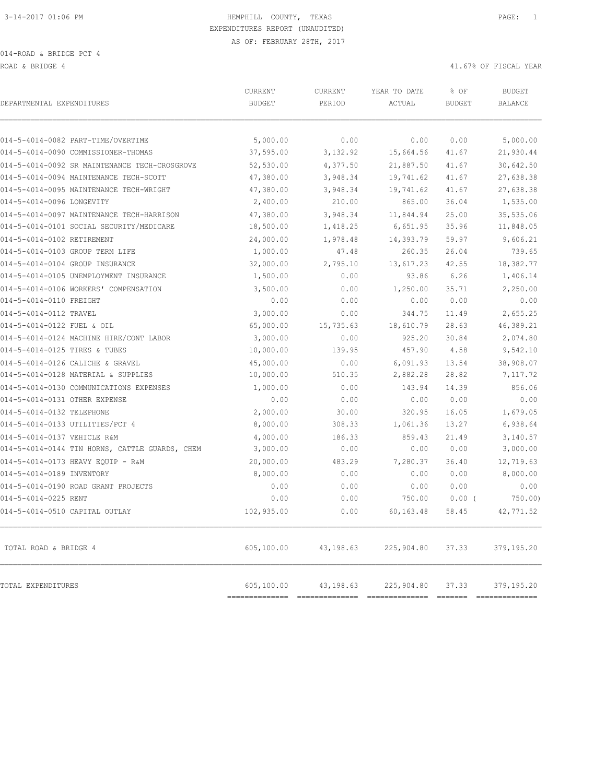ROAD & BRIDGE 4 41.67% OF FISCAL YEAR (1999) AND ROAD & ALL ASSESSED AND RESPOND TO A 41.67% OF FISCAL YEAR

| DEPARTMENTAL EXPENDITURES                      | CURRENT<br><b>BUDGET</b> | CURRENT<br>PERIOD | YEAR TO DATE<br>ACTUAL | % OF<br><b>BUDGET</b> | <b>BUDGET</b><br><b>BALANCE</b> |
|------------------------------------------------|--------------------------|-------------------|------------------------|-----------------------|---------------------------------|
| 014-5-4014-0082 PART-TIME/OVERTIME             | 5,000.00                 | 0.00              | 0.00                   | 0.00                  | 5,000.00                        |
| 014-5-4014-0090 COMMISSIONER-THOMAS            | 37,595.00                | 3,132.92          | 15,664.56              | 41.67                 | 21,930.44                       |
| 014-5-4014-0092 SR MAINTENANCE TECH-CROSGROVE  | 52,530.00                | 4,377.50          | 21,887.50              | 41.67                 | 30,642.50                       |
| 014-5-4014-0094 MAINTENANCE TECH-SCOTT         | 47,380.00                | 3,948.34          | 19,741.62              | 41.67                 | 27,638.38                       |
| 014-5-4014-0095 MAINTENANCE TECH-WRIGHT        | 47,380.00                | 3,948.34          | 19,741.62              | 41.67                 | 27,638.38                       |
| 014-5-4014-0096 LONGEVITY                      | 2,400.00                 | 210.00            | 865.00                 | 36.04                 | 1,535.00                        |
| 014-5-4014-0097 MAINTENANCE TECH-HARRISON      | 47,380.00                | 3,948.34          | 11,844.94              | 25.00                 | 35,535.06                       |
| 014-5-4014-0101 SOCIAL SECURITY/MEDICARE       | 18,500.00                | 1,418.25          | 6,651.95               | 35.96                 | 11,848.05                       |
| 014-5-4014-0102 RETIREMENT                     | 24,000.00                | 1,978.48          | 14,393.79              | 59.97                 | 9,606.21                        |
| 014-5-4014-0103 GROUP TERM LIFE                | 1,000.00                 | 47.48             | 260.35                 | 26.04                 | 739.65                          |
| 014-5-4014-0104 GROUP INSURANCE                | 32,000.00                | 2,795.10          | 13,617.23              | 42.55                 | 18,382.77                       |
| 014-5-4014-0105 UNEMPLOYMENT INSURANCE         | 1,500.00                 | 0.00              | 93.86                  | 6.26                  | 1,406.14                        |
| 014-5-4014-0106 WORKERS' COMPENSATION          | 3,500.00                 | 0.00              | 1,250.00               | 35.71                 | 2,250.00                        |
| 014-5-4014-0110 FREIGHT                        | 0.00                     | 0.00              | 0.00                   | 0.00                  | 0.00                            |
| 014-5-4014-0112 TRAVEL                         | 3,000.00                 | 0.00              | 344.75                 | 11.49                 | 2,655.25                        |
| 014-5-4014-0122 FUEL & OIL                     | 65,000.00                | 15,735.63         | 18,610.79              | 28.63                 | 46,389.21                       |
| 014-5-4014-0124 MACHINE HIRE/CONT LABOR        | 3,000.00                 | 0.00              | 925.20                 | 30.84                 | 2,074.80                        |
| 014-5-4014-0125 TIRES & TUBES                  | 10,000.00                | 139.95            | 457.90                 | 4.58                  | 9,542.10                        |
| 014-5-4014-0126 CALICHE & GRAVEL               | 45,000.00                | 0.00              | 6,091.93               | 13.54                 | 38,908.07                       |
| 014-5-4014-0128 MATERIAL & SUPPLIES            | 10,000.00                | 510.35            | 2,882.28               | 28.82                 | 7,117.72                        |
| 014-5-4014-0130 COMMUNICATIONS EXPENSES        | 1,000.00                 | 0.00              | 143.94                 | 14.39                 | 856.06                          |
| 014-5-4014-0131 OTHER EXPENSE                  | 0.00                     | 0.00              | 0.00                   | 0.00                  | 0.00                            |
| 014-5-4014-0132 TELEPHONE                      | 2,000.00                 | 30.00             | 320.95                 | 16.05                 | 1,679.05                        |
| 014-5-4014-0133 UTILITIES/PCT 4                | 8,000.00                 | 308.33            | 1,061.36               | 13.27                 | 6,938.64                        |
| 014-5-4014-0137 VEHICLE R&M                    | 4,000.00                 | 186.33            | 859.43                 | 21.49                 | 3,140.57                        |
| 014-5-4014-0144 TIN HORNS, CATTLE GUARDS, CHEM | 3,000.00                 | 0.00              | 0.00                   | 0.00                  | 3,000.00                        |
| 014-5-4014-0173 HEAVY EQUIP - R&M              | 20,000.00                | 483.29            | 7,280.37               | 36.40                 | 12,719.63                       |
| 014-5-4014-0189 INVENTORY                      | 8,000.00                 | 0.00              | 0.00                   | 0.00                  | 8,000.00                        |
| 014-5-4014-0190 ROAD GRANT PROJECTS            | 0.00                     | 0.00              | 0.00                   | 0.00                  | 0.00                            |
| 014-5-4014-0225 RENT                           | 0.00                     | 0.00              | 750.00                 | $0.00$ (              | $750.00$ )                      |
| 014-5-4014-0510 CAPITAL OUTLAY                 | 102,935.00               | 0.00              | 60,163.48              | 58.45                 | 42,771.52                       |
| TOTAL ROAD & BRIDGE 4                          | 605,100.00               | 43,198.63         | 225,904.80             | 37.33                 | 379,195.20                      |
| TOTAL EXPENDITURES                             | 605,100.00               | 43,198.63         | 225,904.80             | 37.33                 | 379,195.20                      |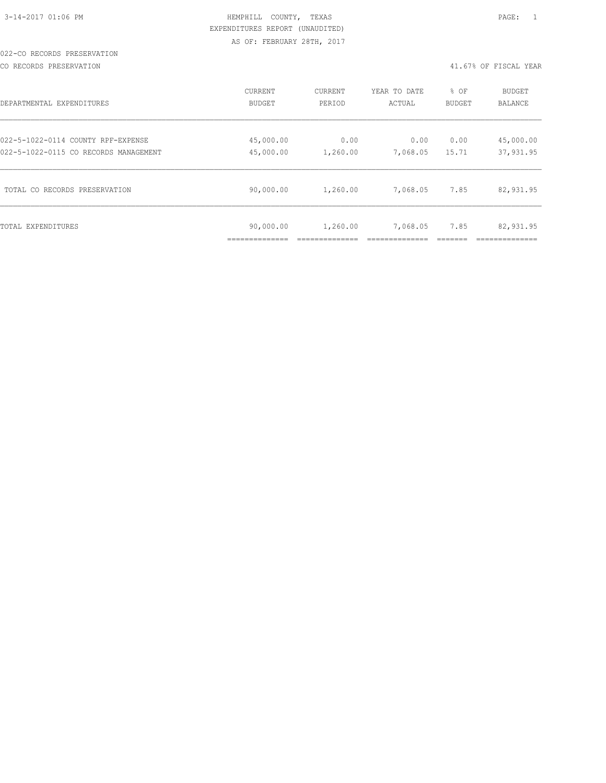#### 022-CO RECORDS PRESERVATION

CO RECORDS PRESERVATION 41.67% OF FISCAL YEAR

| DEPARTMENTAL EXPENDITURES             | CURRENT                   | CURRENT  | YEAR TO DATE | % OF   | BUDGET    |
|---------------------------------------|---------------------------|----------|--------------|--------|-----------|
|                                       | <b>BUDGET</b>             | PERIOD   | ACTUAL       | BUDGET | BALANCE   |
| 022-5-1022-0114 COUNTY RPF-EXPENSE    | 45,000.00                 | 0.00     | 0.00         | 0.00   | 45,000.00 |
| 022-5-1022-0115 CO RECORDS MANAGEMENT | 45,000.00                 | 1,260.00 | 7,068.05     | 15.71  | 37,931.95 |
| TOTAL CO RECORDS PRESERVATION         | 90,000.00                 | 1,260.00 | 7,068.05     | 7.85   | 82,931.95 |
| TOTAL EXPENDITURES                    | 90,000.00<br>____________ | 1,260.00 | 7,068.05     | 7.85   | 82,931.95 |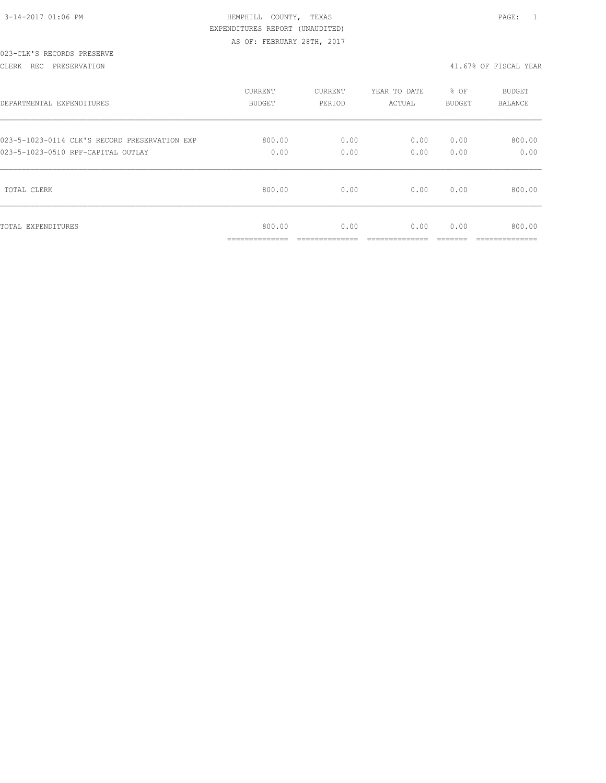| 3-14-2017 01:06 PM |  |  |
|--------------------|--|--|

## 023-CLK'S RECORDS PRESERVE

#### CLERK REC PRESERVATION 41.67% OF FISCAL YEAR

| DEPARTMENTAL EXPENDITURES                     | <b>CURRENT</b>                             | CURRENT               | YEAR TO DATE         | % OF          | <b>BUDGET</b>                            |
|-----------------------------------------------|--------------------------------------------|-----------------------|----------------------|---------------|------------------------------------------|
|                                               | <b>BUDGET</b>                              | PERIOD                | ACTUAL               | <b>BUDGET</b> | <b>BALANCE</b>                           |
| 023-5-1023-0114 CLK'S RECORD PRESERVATION EXP | 800.00                                     | 0.00                  | 0.00                 | 0.00          | 800.00                                   |
| 023-5-1023-0510 RPF-CAPITAL OUTLAY            | 0.00                                       | 0.00                  | 0.00                 | 0.00          | 0.00                                     |
| TOTAL CLERK                                   | 800.00                                     | 0.00                  | 0.00                 | 0.00          | 800.00                                   |
| TOTAL EXPENDITURES                            | 800.00<br>______________<br>______________ | 0.00<br>------------- | 0.00<br>____________ | 0.00          | 800.00<br>____________<br>______________ |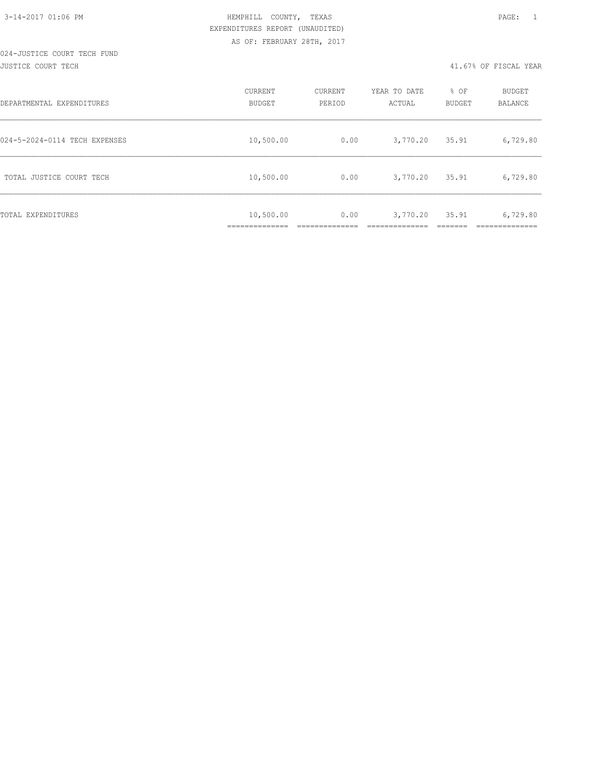#### 024-JUSTICE COURT TECH FUND JUSTICE COURT TECH 41.67% OF FISCAL YEAR

| DEPARTMENTAL EXPENDITURES     | CURRENT<br>BUDGET | CURRENT<br>PERIOD | YEAR TO DATE<br>ACTUAL | % OF<br>BUDGET | <b>BUDGET</b><br>BALANCE |
|-------------------------------|-------------------|-------------------|------------------------|----------------|--------------------------|
| 024-5-2024-0114 TECH EXPENSES | 10,500.00         | 0.00              | 3,770.20               | 35.91          | 6,729.80                 |
| TOTAL JUSTICE COURT TECH      | 10,500.00         | 0.00              | 3,770.20               | 35.91          | 6,729.80                 |
| TOTAL EXPENDITURES            | 10,500.00         | 0.00              | 3,770.20               | 35.91          | 6,729.80                 |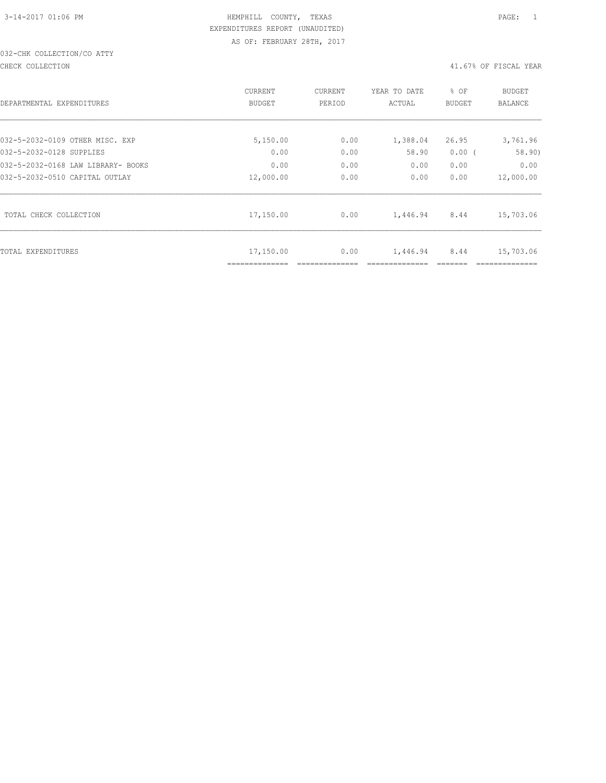# 032-CHK COLLECTION/CO ATTY

CHECK COLLECTION 41.67% OF FISCAL YEAR

| DEPARTMENTAL EXPENDITURES          | CURRENT<br><b>BUDGET</b> | CURRENT<br>PERIOD | YEAR TO DATE<br>ACTUAL | % OF<br><b>BUDGET</b> | <b>BUDGET</b><br><b>BALANCE</b> |
|------------------------------------|--------------------------|-------------------|------------------------|-----------------------|---------------------------------|
| 032-5-2032-0109 OTHER MISC. EXP    | 5,150.00                 | 0.00              | 1,388.04               | 26.95                 | 3,761.96                        |
| 032-5-2032-0128 SUPPLIES           | 0.00                     | 0.00              | 58.90                  | 0.00(                 | 58.90)                          |
| 032-5-2032-0168 LAW LIBRARY- BOOKS | 0.00                     | 0.00              | 0.00                   | 0.00                  | 0.00                            |
| 032-5-2032-0510 CAPITAL OUTLAY     | 12,000.00                | 0.00              | 0.00                   | 0.00                  | 12,000.00                       |
| TOTAL CHECK COLLECTION             | 17,150.00                | 0.00              | 1,446.94               | 8.44                  | 15,703.06                       |
| TOTAL EXPENDITURES                 | 17,150.00                | 0.00              | 1,446.94               | 8.44                  | 15,703.06                       |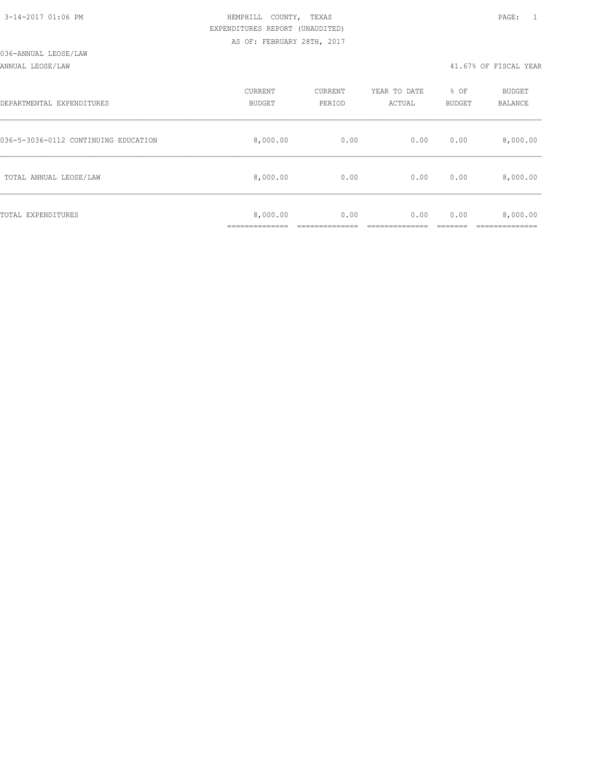| 3-14-2017 01:06 PM |  |  |
|--------------------|--|--|

## ANNUAL LEOSE/LAW 41.67% OF FISCAL YEAR

| DEPARTMENTAL EXPENDITURES            | CURRENT<br><b>BUDGET</b> | CURRENT<br>PERIOD | YEAR TO DATE<br>ACTUAL | % OF<br>BUDGET | BUDGET<br>BALANCE |
|--------------------------------------|--------------------------|-------------------|------------------------|----------------|-------------------|
| 036-5-3036-0112 CONTINUING EDUCATION | 8,000.00                 | 0.00              | 0.00                   | 0.00           | 8,000.00          |
| TOTAL ANNUAL LEOSE/LAW               | 8,000.00                 | 0.00              | 0.00                   | 0.00           | 8,000.00          |
| TOTAL EXPENDITURES                   | 8,000.00<br>____________ | 0.00              | 0.00                   | 0.00           | 8,000.00          |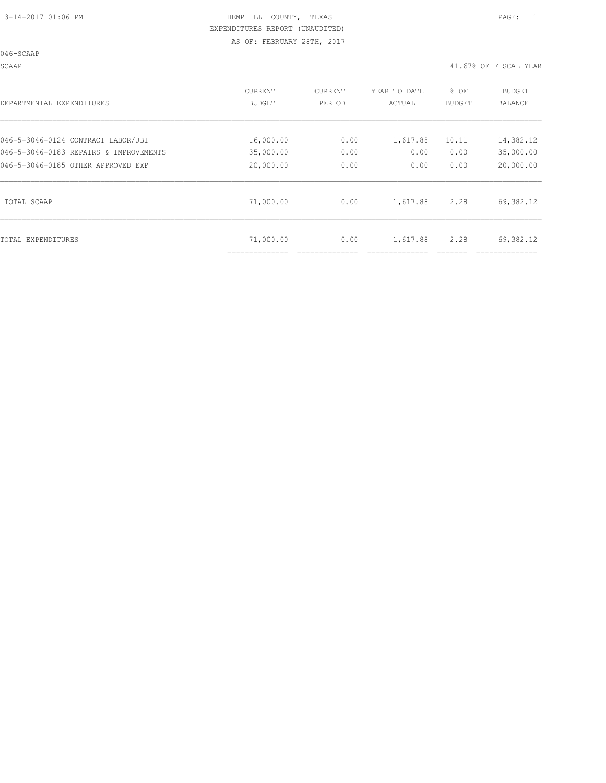SCAAP 41.67% OF FISCAL YEAR

| DEPARTMENTAL EXPENDITURES              | CURRENT<br>BUDGET | CURRENT<br>PERIOD | YEAR TO DATE<br>ACTUAL | % OF<br>BUDGET | <b>BUDGET</b><br>BALANCE |
|----------------------------------------|-------------------|-------------------|------------------------|----------------|--------------------------|
| 046-5-3046-0124 CONTRACT LABOR/JBI     | 16,000.00         | 0.00              | 1,617.88               | 10.11          | 14,382.12                |
| 046-5-3046-0183 REPAIRS & IMPROVEMENTS | 35,000.00         | 0.00              | 0.00                   | 0.00           | 35,000.00                |
| 046-5-3046-0185 OTHER APPROVED EXP     | 20,000.00         | 0.00              | 0.00                   | 0.00           | 20,000.00                |
| TOTAL SCAAP                            | 71,000.00         | 0.00              | 1,617.88               | 2.28           | 69,382.12                |
| TOTAL EXPENDITURES                     | 71,000.00         | 0.00              | 1,617.88               | 2.28           | 69,382.12                |